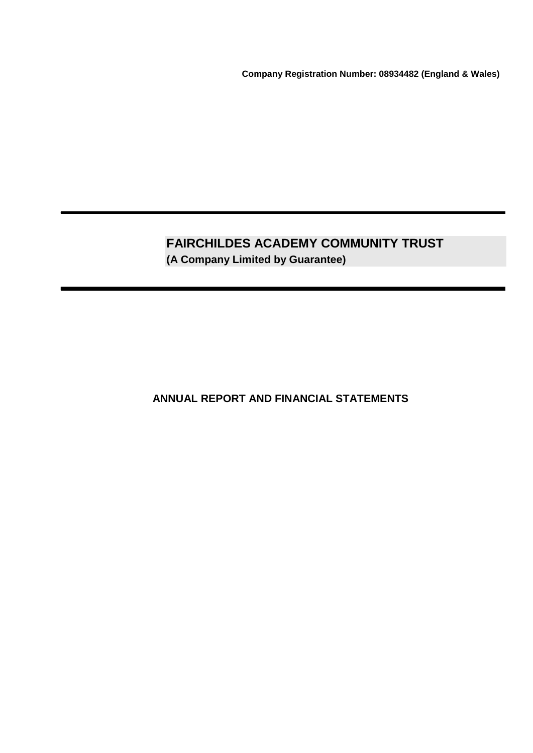**Company Registration Number: 08934482 (England & Wales)**

# **FAIRCHILDES ACADEMY COMMUNITY TRUST (A Company Limited by Guarantee)**

**ANNUAL REPORT AND FINANCIAL STATEMENTS**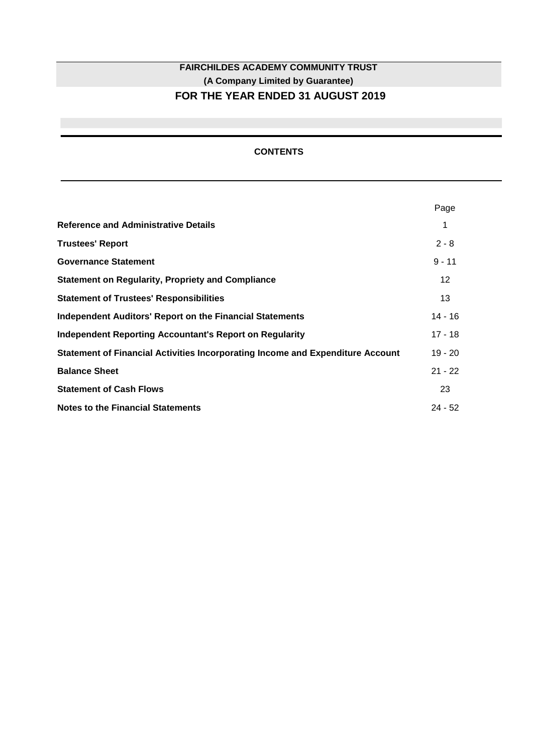# **FAIRCHILDES ACADEMY COMMUNITY TRUST (A Company Limited by Guarantee) FOR THE YEAR ENDED 31 AUGUST 2019**

# **CONTENTS**

|                                                                                | Page      |
|--------------------------------------------------------------------------------|-----------|
| <b>Reference and Administrative Details</b>                                    | 1         |
| <b>Trustees' Report</b>                                                        | $2 - 8$   |
| <b>Governance Statement</b>                                                    | $9 - 11$  |
| <b>Statement on Regularity, Propriety and Compliance</b>                       | 12        |
| <b>Statement of Trustees' Responsibilities</b>                                 | 13        |
| <b>Independent Auditors' Report on the Financial Statements</b>                | $14 - 16$ |
| Independent Reporting Accountant's Report on Regularity                        | $17 - 18$ |
| Statement of Financial Activities Incorporating Income and Expenditure Account | $19 - 20$ |
| <b>Balance Sheet</b>                                                           | $21 - 22$ |
| <b>Statement of Cash Flows</b>                                                 | 23        |
| <b>Notes to the Financial Statements</b>                                       | $24 - 52$ |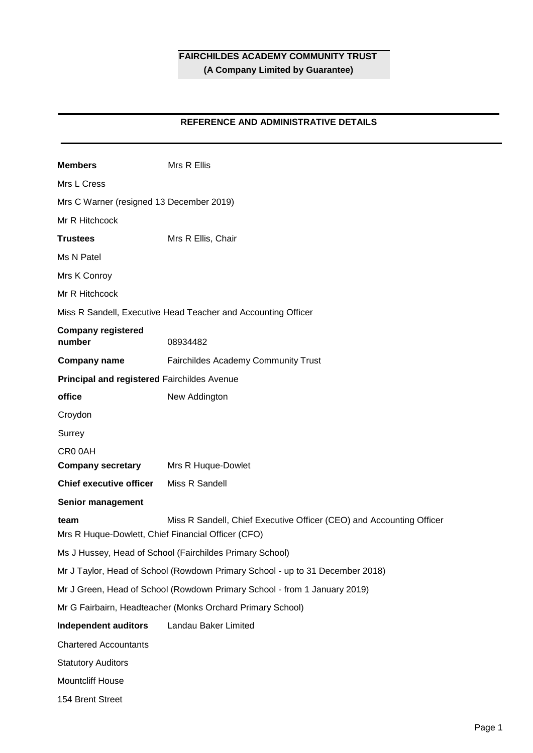# **REFERENCE AND ADMINISTRATIVE DETAILS**

| <b>Members</b>                                                                | Mrs R Ellis                                                               |  |  |  |  |
|-------------------------------------------------------------------------------|---------------------------------------------------------------------------|--|--|--|--|
| Mrs L Cress                                                                   |                                                                           |  |  |  |  |
| Mrs C Warner (resigned 13 December 2019)                                      |                                                                           |  |  |  |  |
| Mr R Hitchcock                                                                |                                                                           |  |  |  |  |
| <b>Trustees</b>                                                               | Mrs R Ellis, Chair                                                        |  |  |  |  |
| Ms N Patel                                                                    |                                                                           |  |  |  |  |
| Mrs K Conroy                                                                  |                                                                           |  |  |  |  |
| Mr R Hitchcock                                                                |                                                                           |  |  |  |  |
|                                                                               | Miss R Sandell, Executive Head Teacher and Accounting Officer             |  |  |  |  |
| <b>Company registered</b><br>number                                           | 08934482                                                                  |  |  |  |  |
| <b>Company name</b>                                                           | Fairchildes Academy Community Trust                                       |  |  |  |  |
| Principal and registered Fairchildes Avenue                                   |                                                                           |  |  |  |  |
| office                                                                        | New Addington                                                             |  |  |  |  |
| Croydon                                                                       |                                                                           |  |  |  |  |
| Surrey                                                                        |                                                                           |  |  |  |  |
| CR00AH                                                                        |                                                                           |  |  |  |  |
| <b>Company secretary</b>                                                      | Mrs R Huque-Dowlet                                                        |  |  |  |  |
| <b>Chief executive officer</b>                                                | Miss R Sandell                                                            |  |  |  |  |
| Senior management                                                             |                                                                           |  |  |  |  |
| team<br>Mrs R Huque-Dowlett, Chief Financial Officer (CFO)                    | Miss R Sandell, Chief Executive Officer (CEO) and Accounting Officer      |  |  |  |  |
|                                                                               | Ms J Hussey, Head of School (Fairchildes Primary School)                  |  |  |  |  |
| Mr J Taylor, Head of School (Rowdown Primary School - up to 31 December 2018) |                                                                           |  |  |  |  |
|                                                                               | Mr J Green, Head of School (Rowdown Primary School - from 1 January 2019) |  |  |  |  |
|                                                                               | Mr G Fairbairn, Headteacher (Monks Orchard Primary School)                |  |  |  |  |
| <b>Independent auditors</b>                                                   | Landau Baker Limited                                                      |  |  |  |  |
| <b>Chartered Accountants</b>                                                  |                                                                           |  |  |  |  |
| <b>Statutory Auditors</b>                                                     |                                                                           |  |  |  |  |
| Mountcliff House                                                              |                                                                           |  |  |  |  |
| 154 Brent Street                                                              |                                                                           |  |  |  |  |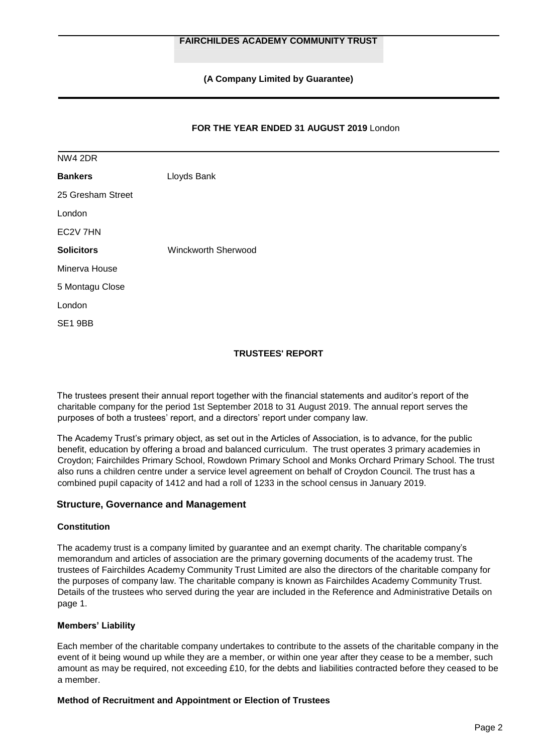**(A Company Limited by Guarantee)**

## **FOR THE YEAR ENDED 31 AUGUST 2019** London

| NW4 2DR              |                     |
|----------------------|---------------------|
| <b>Bankers</b>       | Lloyds Bank         |
| 25 Gresham Street    |                     |
| London               |                     |
| EC <sub>2V</sub> 7HN |                     |
| <b>Solicitors</b>    | Winckworth Sherwood |
| Minerva House        |                     |
| 5 Montagu Close      |                     |
| London               |                     |
| SE1 9BB              |                     |

## **TRUSTEES' REPORT**

The trustees present their annual report together with the financial statements and auditor's report of the charitable company for the period 1st September 2018 to 31 August 2019. The annual report serves the purposes of both a trustees' report, and a directors' report under company law.

The Academy Trust's primary object, as set out in the Articles of Association, is to advance, for the public benefit, education by offering a broad and balanced curriculum. The trust operates 3 primary academies in Croydon; Fairchildes Primary School, Rowdown Primary School and Monks Orchard Primary School. The trust also runs a children centre under a service level agreement on behalf of Croydon Council. The trust has a combined pupil capacity of 1412 and had a roll of 1233 in the school census in January 2019.

## **Structure, Governance and Management**

#### **Constitution**

The academy trust is a company limited by guarantee and an exempt charity. The charitable company's memorandum and articles of association are the primary governing documents of the academy trust. The trustees of Fairchildes Academy Community Trust Limited are also the directors of the charitable company for the purposes of company law. The charitable company is known as Fairchildes Academy Community Trust. Details of the trustees who served during the year are included in the Reference and Administrative Details on page 1.

## **Members' Liability**

Each member of the charitable company undertakes to contribute to the assets of the charitable company in the event of it being wound up while they are a member, or within one year after they cease to be a member, such amount as may be required, not exceeding £10, for the debts and liabilities contracted before they ceased to be a member.

#### **Method of Recruitment and Appointment or Election of Trustees**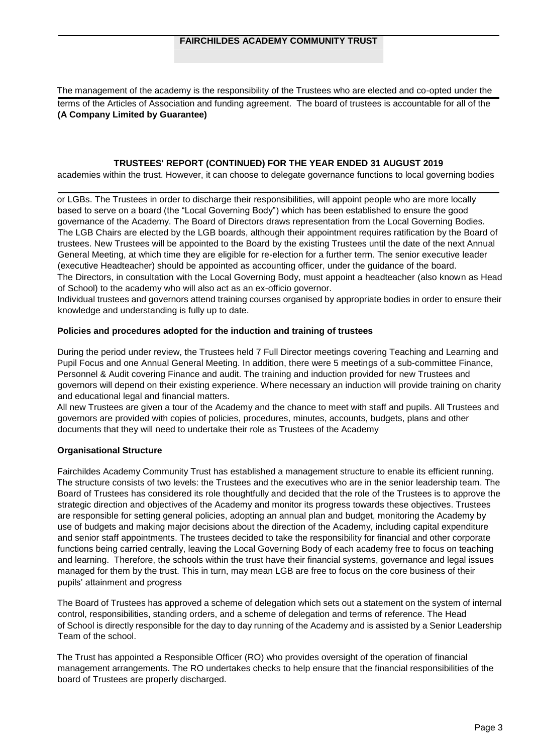The management of the academy is the responsibility of the Trustees who are elected and co-opted under the terms of the Articles of Association and funding agreement. The board of trustees is accountable for all of the **(A Company Limited by Guarantee)**

### **TRUSTEES' REPORT (CONTINUED) FOR THE YEAR ENDED 31 AUGUST 2019**

academies within the trust. However, it can choose to delegate governance functions to local governing bodies

or LGBs. The Trustees in order to discharge their responsibilities, will appoint people who are more locally based to serve on a board (the "Local Governing Body") which has been established to ensure the good governance of the Academy. The Board of Directors draws representation from the Local Governing Bodies. The LGB Chairs are elected by the LGB boards, although their appointment requires ratification by the Board of trustees. New Trustees will be appointed to the Board by the existing Trustees until the date of the next Annual General Meeting, at which time they are eligible for re-election for a further term. The senior executive leader (executive Headteacher) should be appointed as accounting officer, under the guidance of the board. The Directors, in consultation with the Local Governing Body, must appoint a headteacher (also known as Head of School) to the academy who will also act as an ex-officio governor.

Individual trustees and governors attend training courses organised by appropriate bodies in order to ensure their knowledge and understanding is fully up to date.

#### **Policies and procedures adopted for the induction and training of trustees**

During the period under review, the Trustees held 7 Full Director meetings covering Teaching and Learning and Pupil Focus and one Annual General Meeting. In addition, there were 5 meetings of a sub-committee Finance, Personnel & Audit covering Finance and audit. The training and induction provided for new Trustees and governors will depend on their existing experience. Where necessary an induction will provide training on charity and educational legal and financial matters.

All new Trustees are given a tour of the Academy and the chance to meet with staff and pupils. All Trustees and governors are provided with copies of policies, procedures, minutes, accounts, budgets, plans and other documents that they will need to undertake their role as Trustees of the Academy

#### **Organisational Structure**

Fairchildes Academy Community Trust has established a management structure to enable its efficient running. The structure consists of two levels: the Trustees and the executives who are in the senior leadership team. The Board of Trustees has considered its role thoughtfully and decided that the role of the Trustees is to approve the strategic direction and objectives of the Academy and monitor its progress towards these objectives. Trustees are responsible for setting general policies, adopting an annual plan and budget, monitoring the Academy by use of budgets and making major decisions about the direction of the Academy, including capital expenditure and senior staff appointments. The trustees decided to take the responsibility for financial and other corporate functions being carried centrally, leaving the Local Governing Body of each academy free to focus on teaching and learning. Therefore, the schools within the trust have their financial systems, governance and legal issues managed for them by the trust. This in turn, may mean LGB are free to focus on the core business of their pupils' attainment and progress

The Board of Trustees has approved a scheme of delegation which sets out a statement on the system of internal control, responsibilities, standing orders, and a scheme of delegation and terms of reference. The Head of School is directly responsible for the day to day running of the Academy and is assisted by a Senior Leadership Team of the school.

The Trust has appointed a Responsible Officer (RO) who provides oversight of the operation of financial management arrangements. The RO undertakes checks to help ensure that the financial responsibilities of the board of Trustees are properly discharged.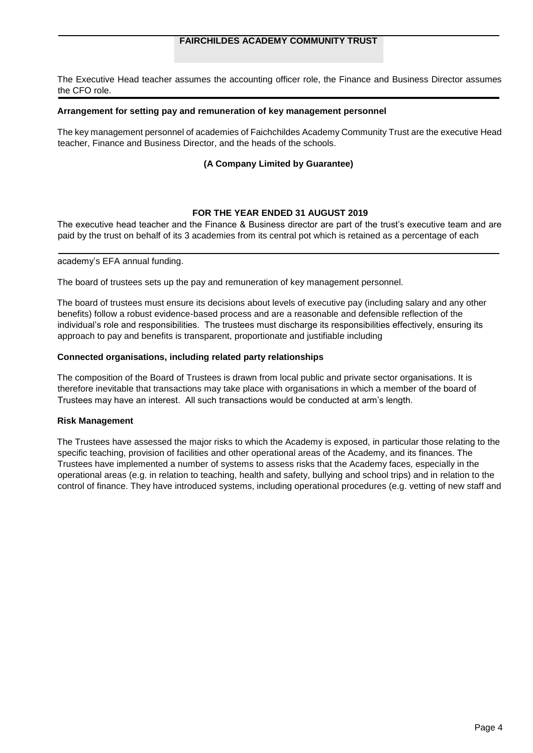## **FAIRCHILDES ACADEMY COMMUNITY TRUST**

The Executive Head teacher assumes the accounting officer role, the Finance and Business Director assumes the CFO role.

#### **Arrangement for setting pay and remuneration of key management personnel**

The key management personnel of academies of Faichchildes Academy Community Trust are the executive Head teacher, Finance and Business Director, and the heads of the schools.

## **(A Company Limited by Guarantee)**

## **FOR THE YEAR ENDED 31 AUGUST 2019**

The executive head teacher and the Finance & Business director are part of the trust's executive team and are paid by the trust on behalf of its 3 academies from its central pot which is retained as a percentage of each

#### academy's EFA annual funding.

The board of trustees sets up the pay and remuneration of key management personnel.

The board of trustees must ensure its decisions about levels of executive pay (including salary and any other benefits) follow a robust evidence-based process and are a reasonable and defensible reflection of the individual's role and responsibilities. The trustees must discharge its responsibilities effectively, ensuring its approach to pay and benefits is transparent, proportionate and justifiable including

#### **Connected organisations, including related party relationships**

The composition of the Board of Trustees is drawn from local public and private sector organisations. It is therefore inevitable that transactions may take place with organisations in which a member of the board of Trustees may have an interest. All such transactions would be conducted at arm's length.

## **Risk Management**

The Trustees have assessed the major risks to which the Academy is exposed, in particular those relating to the specific teaching, provision of facilities and other operational areas of the Academy, and its finances. The Trustees have implemented a number of systems to assess risks that the Academy faces, especially in the operational areas (e.g. in relation to teaching, health and safety, bullying and school trips) and in relation to the control of finance. They have introduced systems, including operational procedures (e.g. vetting of new staff and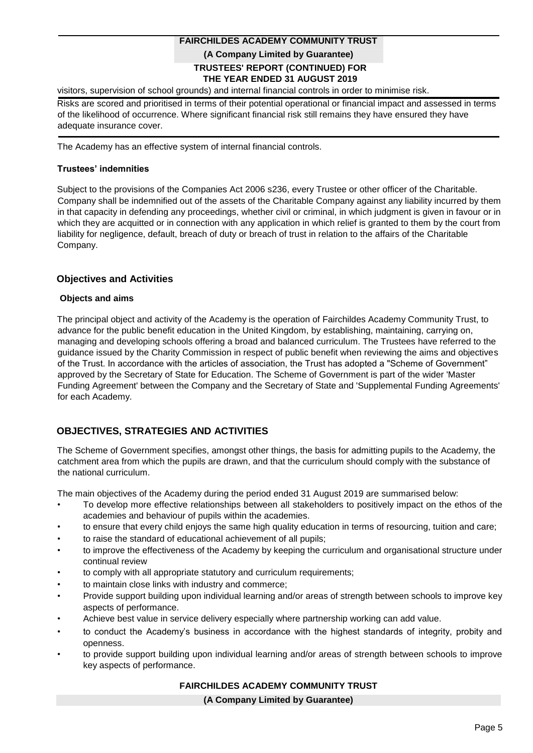# **TRUSTEES' REPORT (CONTINUED) FOR THE YEAR ENDED 31 AUGUST 2019 FAIRCHILDES ACADEMY COMMUNITY TRUST (A Company Limited by Guarantee)**

visitors, supervision of school grounds) and internal financial controls in order to minimise risk.

Risks are scored and prioritised in terms of their potential operational or financial impact and assessed in terms of the likelihood of occurrence. Where significant financial risk still remains they have ensured they have adequate insurance cover.

The Academy has an effective system of internal financial controls.

### **Trustees' indemnities**

Subject to the provisions of the Companies Act 2006 s236, every Trustee or other officer of the Charitable. Company shall be indemnified out of the assets of the Charitable Company against any liability incurred by them in that capacity in defending any proceedings, whether civil or criminal, in which judgment is given in favour or in which they are acquitted or in connection with any application in which relief is granted to them by the court from liability for negligence, default, breach of duty or breach of trust in relation to the affairs of the Charitable Company.

## **Objectives and Activities**

#### **Objects and aims**

The principal object and activity of the Academy is the operation of Fairchildes Academy Community Trust, to advance for the public benefit education in the United Kingdom, by establishing, maintaining, carrying on, managing and developing schools offering a broad and balanced curriculum. The Trustees have referred to the guidance issued by the Charity Commission in respect of public benefit when reviewing the aims and objectives of the Trust. In accordance with the articles of association, the Trust has adopted a "Scheme of Government" approved by the Secretary of State for Education. The Scheme of Government is part of the wider 'Master Funding Agreement' between the Company and the Secretary of State and 'Supplemental Funding Agreements' for each Academy.

# **OBJECTIVES, STRATEGIES AND ACTIVITIES**

The Scheme of Government specifies, amongst other things, the basis for admitting pupils to the Academy, the catchment area from which the pupils are drawn, and that the curriculum should comply with the substance of the national curriculum.

The main objectives of the Academy during the period ended 31 August 2019 are summarised below:

- To develop more effective relationships between all stakeholders to positively impact on the ethos of the academies and behaviour of pupils within the academies.
- to ensure that every child enjoys the same high quality education in terms of resourcing, tuition and care;
- to raise the standard of educational achievement of all pupils;
- to improve the effectiveness of the Academy by keeping the curriculum and organisational structure under continual review
- to comply with all appropriate statutory and curriculum requirements;
- to maintain close links with industry and commerce;
- Provide support building upon individual learning and/or areas of strength between schools to improve key aspects of performance.
- Achieve best value in service delivery especially where partnership working can add value.
- to conduct the Academy's business in accordance with the highest standards of integrity, probity and openness.
- to provide support building upon individual learning and/or areas of strength between schools to improve key aspects of performance.

## **FAIRCHILDES ACADEMY COMMUNITY TRUST**

#### **(A Company Limited by Guarantee)**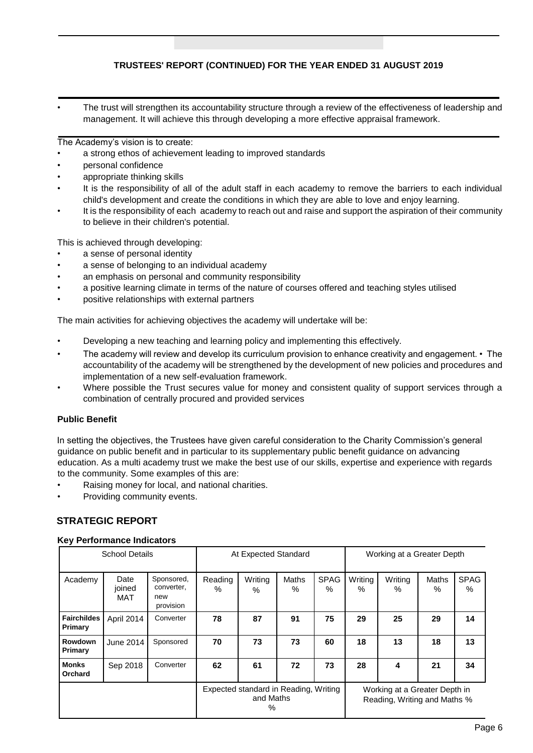# **TRUSTEES' REPORT (CONTINUED) FOR THE YEAR ENDED 31 AUGUST 2019**

• The trust will strengthen its accountability structure through a review of the effectiveness of leadership and management. It will achieve this through developing a more effective appraisal framework.

The Academy's vision is to create:

- a strong ethos of achievement leading to improved standards
- personal confidence
- appropriate thinking skills
- It is the responsibility of all of the adult staff in each academy to remove the barriers to each individual child's development and create the conditions in which they are able to love and enjoy learning.
- It is the responsibility of each academy to reach out and raise and support the aspiration of their community to believe in their children's potential.

This is achieved through developing:

- a sense of personal identity
- a sense of belonging to an individual academy
- an emphasis on personal and community responsibility
- a positive learning climate in terms of the nature of courses offered and teaching styles utilised
- positive relationships with external partners

The main activities for achieving objectives the academy will undertake will be:

- Developing a new teaching and learning policy and implementing this effectively.
- The academy will review and develop its curriculum provision to enhance creativity and engagement. The accountability of the academy will be strengthened by the development of new policies and procedures and implementation of a new self-evaluation framework.
- Where possible the Trust secures value for money and consistent quality of support services through a combination of centrally procured and provided services

## **Public Benefit**

In setting the objectives, the Trustees have given careful consideration to the Charity Commission's general guidance on public benefit and in particular to its supplementary public benefit guidance on advancing education. As a multi academy trust we make the best use of our skills, expertise and experience with regards to the community. Some examples of this are:

- Raising money for local, and national charities.
- Providing community events.

# **STRATEGIC REPORT**

#### **Key Performance Indicators**

| <b>School Details</b>                                      |                              |                                              | At Expected Standard |              |                                                               |                  | Working at a Greater Depth |              |               |                  |
|------------------------------------------------------------|------------------------------|----------------------------------------------|----------------------|--------------|---------------------------------------------------------------|------------------|----------------------------|--------------|---------------|------------------|
| Academy                                                    | Date<br>joined<br><b>MAT</b> | Sponsored,<br>converter,<br>new<br>provision | Reading<br>$\%$      | Writing<br>% | <b>Maths</b><br>%                                             | <b>SPAG</b><br>% | Writing<br>$\frac{0}{0}$   | Writing<br>% | Maths<br>$\%$ | <b>SPAG</b><br>% |
| <b>Fairchildes</b><br>Primary                              | April 2014                   | Converter                                    | 78                   | 87           | 91                                                            | 75               | 29                         | 25           | 29            | 14               |
| Rowdown<br>Primary                                         | June 2014                    | Sponsored                                    | 70                   | 73           | 73                                                            | 60               | 18                         | 13           | 18            | 13               |
| Monks<br>Orchard                                           | Sep 2018                     | Converter                                    | 62                   | 61           | 72                                                            | 73               | 28                         | 4            | 21            | 34               |
| Expected standard in Reading, Writing<br>and Maths<br>$\%$ |                              |                                              |                      |              | Working at a Greater Depth in<br>Reading, Writing and Maths % |                  |                            |              |               |                  |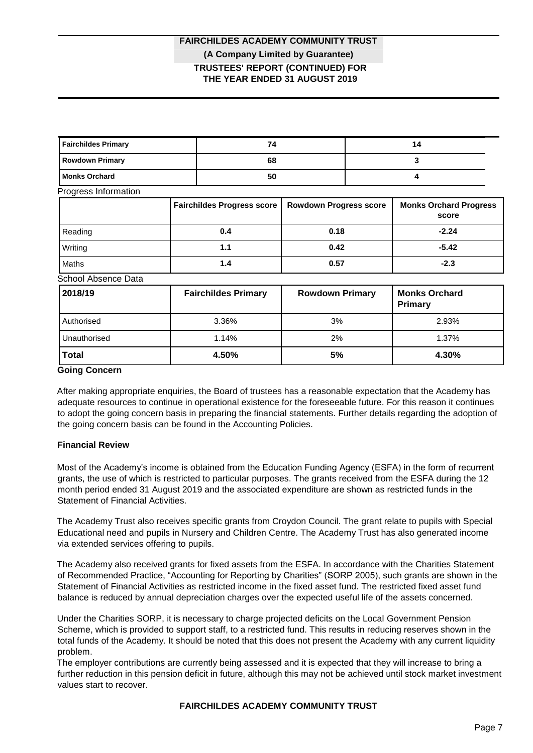# **TRUSTEES' REPORT (CONTINUED) FOR THE YEAR ENDED 31 AUGUST 2019 FAIRCHILDES ACADEMY COMMUNITY TRUST (A Company Limited by Guarantee)**

| <b>Fairchildes Primary</b> |  | 74                                |                               | 14 |                                        |  |
|----------------------------|--|-----------------------------------|-------------------------------|----|----------------------------------------|--|
| <b>Rowdown Primary</b>     |  | 68                                |                               |    | 3                                      |  |
| <b>Monks Orchard</b>       |  | 50                                |                               |    | 4                                      |  |
| Progress Information       |  |                                   |                               |    |                                        |  |
|                            |  | <b>Fairchildes Progress score</b> | <b>Rowdown Progress score</b> |    | <b>Monks Orchard Progress</b><br>score |  |
| Reading                    |  | 0.4                               | 0.18                          |    | $-2.24$                                |  |
| Writing                    |  | 1.1                               | 0.42                          |    | $-5.42$                                |  |
| Maths                      |  | 1.4                               | 0.57                          |    | $-2.3$                                 |  |
| School Absence Data        |  |                                   |                               |    |                                        |  |
| 2018/19                    |  | <b>Fairchildes Primary</b>        | <b>Rowdown Primary</b>        |    | <b>Monks Orchard</b><br><b>Primary</b> |  |
| Authorised                 |  | 3.36%                             | 3%                            |    | 2.93%                                  |  |
| Unauthorised               |  | 1.14%                             | 2%                            |    | 1.37%                                  |  |
| <b>Total</b>               |  | 4.50%                             | 5%                            |    | 4.30%                                  |  |

#### **Going Concern**

After making appropriate enquiries, the Board of trustees has a reasonable expectation that the Academy has adequate resources to continue in operational existence for the foreseeable future. For this reason it continues to adopt the going concern basis in preparing the financial statements. Further details regarding the adoption of the going concern basis can be found in the Accounting Policies.

## **Financial Review**

Most of the Academy's income is obtained from the Education Funding Agency (ESFA) in the form of recurrent grants, the use of which is restricted to particular purposes. The grants received from the ESFA during the 12 month period ended 31 August 2019 and the associated expenditure are shown as restricted funds in the Statement of Financial Activities.

The Academy Trust also receives specific grants from Croydon Council. The grant relate to pupils with Special Educational need and pupils in Nursery and Children Centre. The Academy Trust has also generated income via extended services offering to pupils.

The Academy also received grants for fixed assets from the ESFA. In accordance with the Charities Statement of Recommended Practice, "Accounting for Reporting by Charities" (SORP 2005), such grants are shown in the Statement of Financial Activities as restricted income in the fixed asset fund. The restricted fixed asset fund balance is reduced by annual depreciation charges over the expected useful life of the assets concerned.

Under the Charities SORP, it is necessary to charge projected deficits on the Local Government Pension Scheme, which is provided to support staff, to a restricted fund. This results in reducing reserves shown in the total funds of the Academy. It should be noted that this does not present the Academy with any current liquidity problem.

The employer contributions are currently being assessed and it is expected that they will increase to bring a further reduction in this pension deficit in future, although this may not be achieved until stock market investment values start to recover.

## **FAIRCHILDES ACADEMY COMMUNITY TRUST**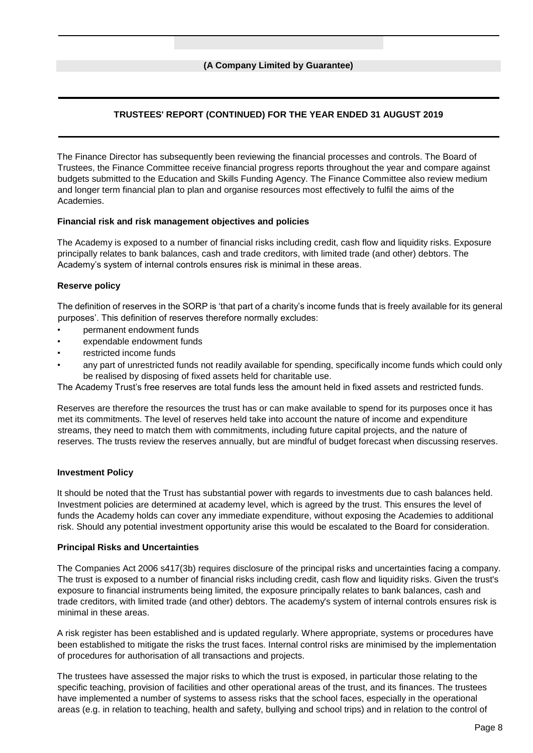# **TRUSTEES' REPORT (CONTINUED) FOR THE YEAR ENDED 31 AUGUST 2019**

The Finance Director has subsequently been reviewing the financial processes and controls. The Board of Trustees, the Finance Committee receive financial progress reports throughout the year and compare against budgets submitted to the Education and Skills Funding Agency. The Finance Committee also review medium and longer term financial plan to plan and organise resources most effectively to fulfil the aims of the Academies.

## **Financial risk and risk management objectives and policies**

The Academy is exposed to a number of financial risks including credit, cash flow and liquidity risks. Exposure principally relates to bank balances, cash and trade creditors, with limited trade (and other) debtors. The Academy's system of internal controls ensures risk is minimal in these areas.

## **Reserve policy**

The definition of reserves in the SORP is 'that part of a charity's income funds that is freely available for its general purposes'. This definition of reserves therefore normally excludes:

- permanent endowment funds
- expendable endowment funds
- restricted income funds
- any part of unrestricted funds not readily available for spending, specifically income funds which could only be realised by disposing of fixed assets held for charitable use.

The Academy Trust's free reserves are total funds less the amount held in fixed assets and restricted funds.

Reserves are therefore the resources the trust has or can make available to spend for its purposes once it has met its commitments. The level of reserves held take into account the nature of income and expenditure streams, they need to match them with commitments, including future capital projects, and the nature of reserves. The trusts review the reserves annually, but are mindful of budget forecast when discussing reserves.

## **Investment Policy**

It should be noted that the Trust has substantial power with regards to investments due to cash balances held. Investment policies are determined at academy level, which is agreed by the trust. This ensures the level of funds the Academy holds can cover any immediate expenditure, without exposing the Academies to additional risk. Should any potential investment opportunity arise this would be escalated to the Board for consideration.

## **Principal Risks and Uncertainties**

The Companies Act 2006 s417(3b) requires disclosure of the principal risks and uncertainties facing a company. The trust is exposed to a number of financial risks including credit, cash flow and liquidity risks. Given the trust's exposure to financial instruments being limited, the exposure principally relates to bank balances, cash and trade creditors, with limited trade (and other) debtors. The academy's system of internal controls ensures risk is minimal in these areas.

A risk register has been established and is updated regularly. Where appropriate, systems or procedures have been established to mitigate the risks the trust faces. Internal control risks are minimised by the implementation of procedures for authorisation of all transactions and projects.

The trustees have assessed the major risks to which the trust is exposed, in particular those relating to the specific teaching, provision of facilities and other operational areas of the trust, and its finances. The trustees have implemented a number of systems to assess risks that the school faces, especially in the operational areas (e.g. in relation to teaching, health and safety, bullying and school trips) and in relation to the control of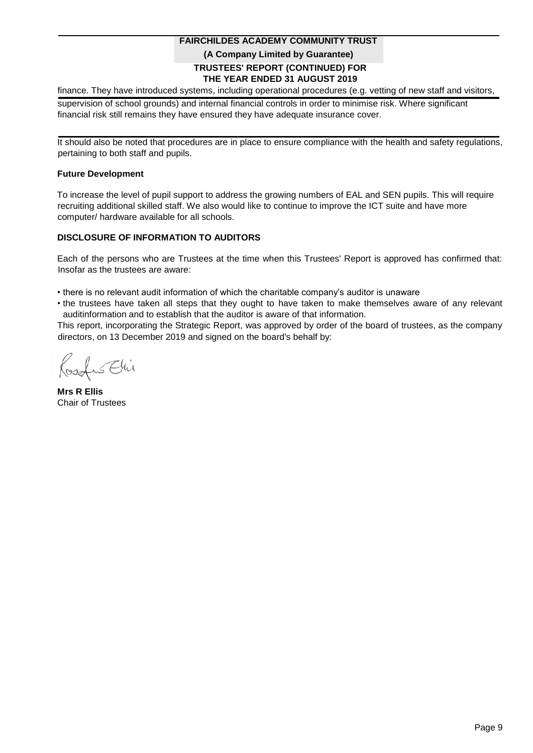# **TRUSTEES' REPORT (CONTINUED) FOR THE YEAR ENDED 31 AUGUST 2019 FAIRCHILDES ACADEMY COMMUNITY TRUST (A Company Limited by Guarantee)**

finance. They have introduced systems, including operational procedures (e.g. vetting of new staff and visitors,

supervision of school grounds) and internal financial controls in order to minimise risk. Where significant financial risk still remains they have ensured they have adequate insurance cover.

It should also be noted that procedures are in place to ensure compliance with the health and safety regulations, pertaining to both staff and pupils.

#### **Future Development**

To increase the level of pupil support to address the growing numbers of EAL and SEN pupils. This will require recruiting additional skilled staff. We also would like to continue to improve the ICT suite and have more computer/ hardware available for all schools.

## **DISCLOSURE OF INFORMATION TO AUDITORS**

Each of the persons who are Trustees at the time when this Trustees' Report is approved has confirmed that: Insofar as the trustees are aware:

• there is no relevant audit information of which the charitable company's auditor is unaware

• the trustees have taken all steps that they ought to have taken to make themselves aware of any relevant auditinformation and to establish that the auditor is aware of that information.

This report, incorporating the Strategic Report, was approved by order of the board of trustees, as the company directors, on 13 December 2019 and signed on the board's behalf by:

SChi

**Mrs R Ellis** Chair of Trustees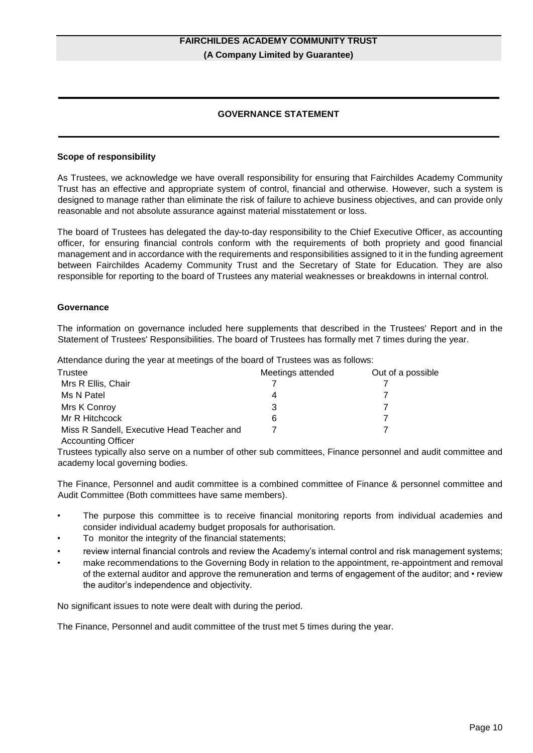# **GOVERNANCE STATEMENT**

#### **Scope of responsibility**

As Trustees, we acknowledge we have overall responsibility for ensuring that Fairchildes Academy Community Trust has an effective and appropriate system of control, financial and otherwise. However, such a system is designed to manage rather than eliminate the risk of failure to achieve business objectives, and can provide only reasonable and not absolute assurance against material misstatement or loss.

The board of Trustees has delegated the day-to-day responsibility to the Chief Executive Officer, as accounting officer, for ensuring financial controls conform with the requirements of both propriety and good financial management and in accordance with the requirements and responsibilities assigned to it in the funding agreement between Fairchildes Academy Community Trust and the Secretary of State for Education. They are also responsible for reporting to the board of Trustees any material weaknesses or breakdowns in internal control.

#### **Governance**

The information on governance included here supplements that described in the Trustees' Report and in the Statement of Trustees' Responsibilities. The board of Trustees has formally met 7 times during the year.

Attendance during the year at meetings of the board of Trustees was as follows:

| Trustee                                    | Meetings attended | Out of a possible |
|--------------------------------------------|-------------------|-------------------|
| Mrs R Ellis, Chair                         |                   |                   |
| Ms N Patel                                 | 4                 |                   |
| Mrs K Conroy                               | 3                 |                   |
| Mr R Hitchcock                             | 6                 |                   |
| Miss R Sandell, Executive Head Teacher and |                   |                   |

Accounting Officer

Trustees typically also serve on a number of other sub committees, Finance personnel and audit committee and academy local governing bodies.

The Finance, Personnel and audit committee is a combined committee of Finance & personnel committee and Audit Committee (Both committees have same members).

- The purpose this committee is to receive financial monitoring reports from individual academies and consider individual academy budget proposals for authorisation.
- To monitor the integrity of the financial statements;
- review internal financial controls and review the Academy's internal control and risk management systems;
- make recommendations to the Governing Body in relation to the appointment, re-appointment and removal of the external auditor and approve the remuneration and terms of engagement of the auditor; and • review the auditor's independence and objectivity.

No significant issues to note were dealt with during the period.

The Finance, Personnel and audit committee of the trust met 5 times during the year.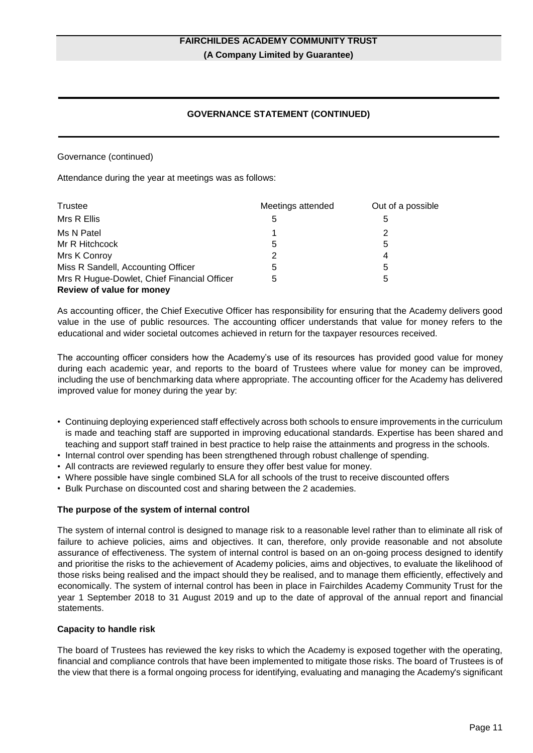# **GOVERNANCE STATEMENT (CONTINUED)**

Governance (continued)

Attendance during the year at meetings was as follows:

| Trustee                                     | Meetings attended | Out of a possible |
|---------------------------------------------|-------------------|-------------------|
| Mrs R Ellis                                 | 5                 | 5                 |
| Ms N Patel                                  |                   | 2                 |
| Mr R Hitchcock                              | 5                 | 5                 |
| Mrs K Conroy                                | 2                 | 4                 |
| Miss R Sandell, Accounting Officer          | 5                 | 5                 |
| Mrs R Hugue-Dowlet, Chief Financial Officer | 5                 | 5                 |
| Review of value for money                   |                   |                   |

As accounting officer, the Chief Executive Officer has responsibility for ensuring that the Academy delivers good value in the use of public resources. The accounting officer understands that value for money refers to the educational and wider societal outcomes achieved in return for the taxpayer resources received.

The accounting officer considers how the Academy's use of its resources has provided good value for money during each academic year, and reports to the board of Trustees where value for money can be improved, including the use of benchmarking data where appropriate. The accounting officer for the Academy has delivered improved value for money during the year by:

- Continuing deploying experienced staff effectively across both schools to ensure improvements in the curriculum is made and teaching staff are supported in improving educational standards. Expertise has been shared and teaching and support staff trained in best practice to help raise the attainments and progress in the schools.
- Internal control over spending has been strengthened through robust challenge of spending.
- All contracts are reviewed regularly to ensure they offer best value for money.
- Where possible have single combined SLA for all schools of the trust to receive discounted offers
- Bulk Purchase on discounted cost and sharing between the 2 academies.

## **The purpose of the system of internal control**

The system of internal control is designed to manage risk to a reasonable level rather than to eliminate all risk of failure to achieve policies, aims and objectives. It can, therefore, only provide reasonable and not absolute assurance of effectiveness. The system of internal control is based on an on-going process designed to identify and prioritise the risks to the achievement of Academy policies, aims and objectives, to evaluate the likelihood of those risks being realised and the impact should they be realised, and to manage them efficiently, effectively and economically. The system of internal control has been in place in Fairchildes Academy Community Trust for the year 1 September 2018 to 31 August 2019 and up to the date of approval of the annual report and financial statements.

## **Capacity to handle risk**

The board of Trustees has reviewed the key risks to which the Academy is exposed together with the operating, financial and compliance controls that have been implemented to mitigate those risks. The board of Trustees is of the view that there is a formal ongoing process for identifying, evaluating and managing the Academy's significant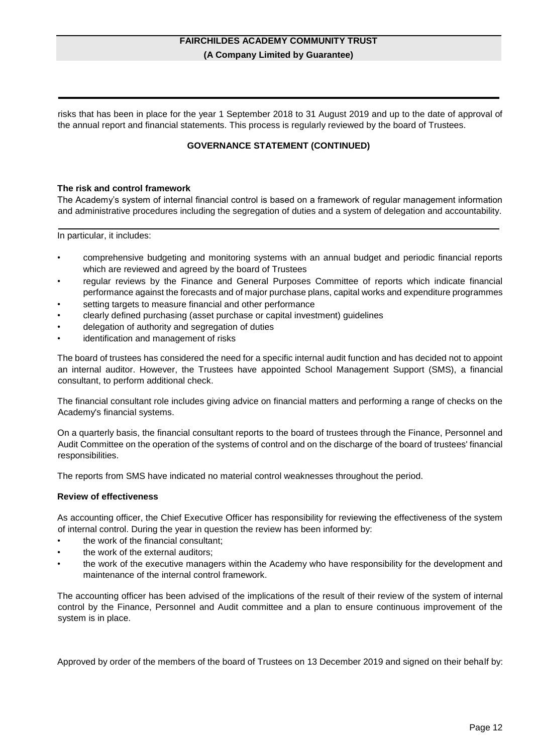risks that has been in place for the year 1 September 2018 to 31 August 2019 and up to the date of approval of the annual report and financial statements. This process is regularly reviewed by the board of Trustees.

## **GOVERNANCE STATEMENT (CONTINUED)**

#### **The risk and control framework**

The Academy's system of internal financial control is based on a framework of regular management information and administrative procedures including the segregation of duties and a system of delegation and accountability.

In particular, it includes:

- comprehensive budgeting and monitoring systems with an annual budget and periodic financial reports which are reviewed and agreed by the board of Trustees
- regular reviews by the Finance and General Purposes Committee of reports which indicate financial performance against the forecasts and of major purchase plans, capital works and expenditure programmes
- setting targets to measure financial and other performance
- clearly defined purchasing (asset purchase or capital investment) guidelines
- delegation of authority and segregation of duties
- identification and management of risks

The board of trustees has considered the need for a specific internal audit function and has decided not to appoint an internal auditor. However, the Trustees have appointed School Management Support (SMS), a financial consultant, to perform additional check.

The financial consultant role includes giving advice on financial matters and performing a range of checks on the Academy's financial systems.

On a quarterly basis, the financial consultant reports to the board of trustees through the Finance, Personnel and Audit Committee on the operation of the systems of control and on the discharge of the board of trustees' financial responsibilities.

The reports from SMS have indicated no material control weaknesses throughout the period.

#### **Review of effectiveness**

As accounting officer, the Chief Executive Officer has responsibility for reviewing the effectiveness of the system of internal control. During the year in question the review has been informed by:

- the work of the financial consultant;
- the work of the external auditors;
- the work of the executive managers within the Academy who have responsibility for the development and maintenance of the internal control framework.

The accounting officer has been advised of the implications of the result of their review of the system of internal control by the Finance, Personnel and Audit committee and a plan to ensure continuous improvement of the system is in place.

Approved by order of the members of the board of Trustees on 13 December 2019 and signed on their behalf by: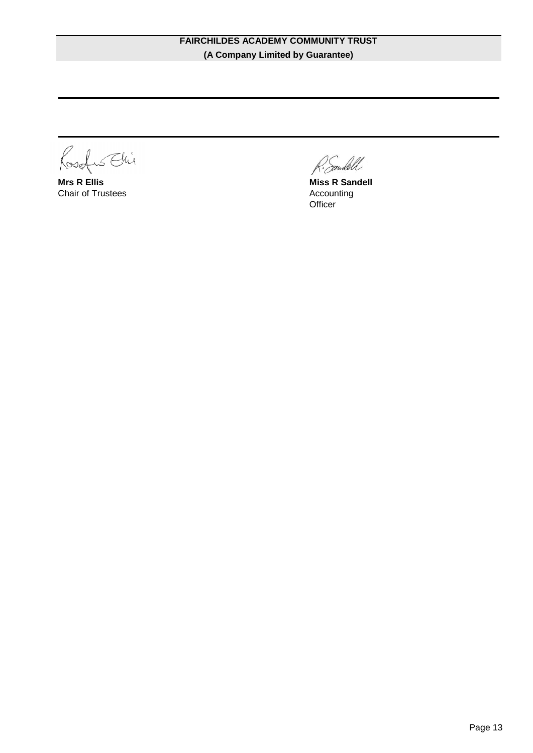Rosafus Ehi

**Mrs R Ellis** Chair of Trustees

Eendell

**Miss R Sandell**  Accounting **Officer**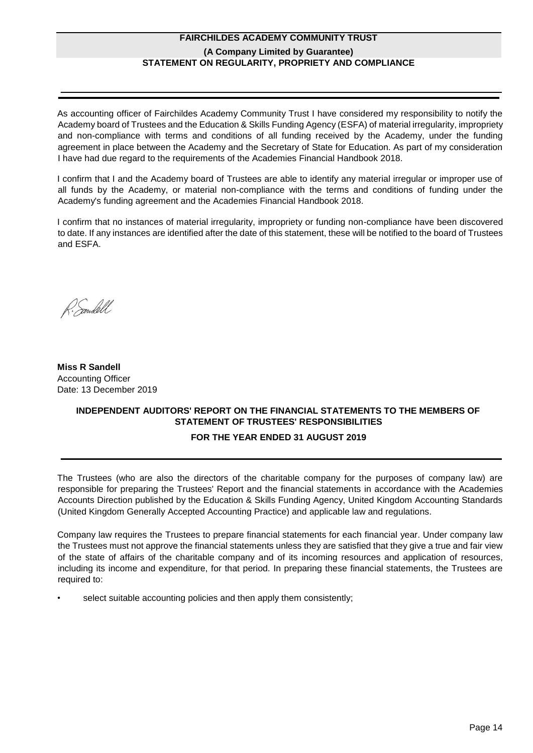# **FAIRCHILDES ACADEMY COMMUNITY TRUST (A Company Limited by Guarantee) STATEMENT ON REGULARITY, PROPRIETY AND COMPLIANCE**

As accounting officer of Fairchildes Academy Community Trust I have considered my responsibility to notify the Academy board of Trustees and the Education & Skills Funding Agency (ESFA) of material irregularity, impropriety and non-compliance with terms and conditions of all funding received by the Academy, under the funding agreement in place between the Academy and the Secretary of State for Education. As part of my consideration I have had due regard to the requirements of the Academies Financial Handbook 2018.

I confirm that I and the Academy board of Trustees are able to identify any material irregular or improper use of all funds by the Academy, or material non-compliance with the terms and conditions of funding under the Academy's funding agreement and the Academies Financial Handbook 2018.

I confirm that no instances of material irregularity, impropriety or funding non-compliance have been discovered to date. If any instances are identified after the date of this statement, these will be notified to the board of Trustees and ESFA.

R. Sandell

**Miss R Sandell** Accounting Officer Date: 13 December 2019

# **INDEPENDENT AUDITORS' REPORT ON THE FINANCIAL STATEMENTS TO THE MEMBERS OF STATEMENT OF TRUSTEES' RESPONSIBILITIES**

# **FOR THE YEAR ENDED 31 AUGUST 2019**

The Trustees (who are also the directors of the charitable company for the purposes of company law) are responsible for preparing the Trustees' Report and the financial statements in accordance with the Academies Accounts Direction published by the Education & Skills Funding Agency, United Kingdom Accounting Standards (United Kingdom Generally Accepted Accounting Practice) and applicable law and regulations.

Company law requires the Trustees to prepare financial statements for each financial year. Under company law the Trustees must not approve the financial statements unless they are satisfied that they give a true and fair view of the state of affairs of the charitable company and of its incoming resources and application of resources, including its income and expenditure, for that period. In preparing these financial statements, the Trustees are required to:

select suitable accounting policies and then apply them consistently;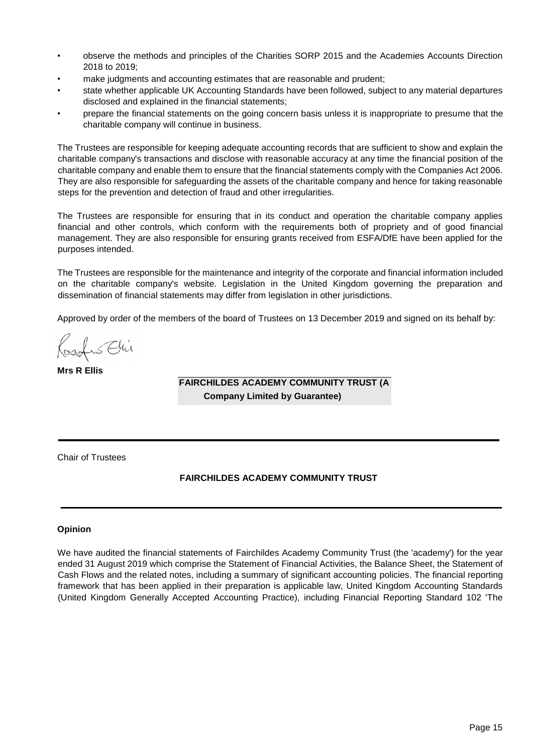- observe the methods and principles of the Charities SORP 2015 and the Academies Accounts Direction 2018 to 2019;
- make judgments and accounting estimates that are reasonable and prudent;
- state whether applicable UK Accounting Standards have been followed, subject to any material departures disclosed and explained in the financial statements;
- prepare the financial statements on the going concern basis unless it is inappropriate to presume that the charitable company will continue in business.

The Trustees are responsible for keeping adequate accounting records that are sufficient to show and explain the charitable company's transactions and disclose with reasonable accuracy at any time the financial position of the charitable company and enable them to ensure that the financial statements comply with the Companies Act 2006. They are also responsible for safeguarding the assets of the charitable company and hence for taking reasonable steps for the prevention and detection of fraud and other irregularities.

The Trustees are responsible for ensuring that in its conduct and operation the charitable company applies financial and other controls, which conform with the requirements both of propriety and of good financial management. They are also responsible for ensuring grants received from ESFA/DfE have been applied for the purposes intended.

The Trustees are responsible for the maintenance and integrity of the corporate and financial information included on the charitable company's website. Legislation in the United Kingdom governing the preparation and dissemination of financial statements may differ from legislation in other jurisdictions.

Approved by order of the members of the board of Trustees on 13 December 2019 and signed on its behalf by:

Osofus Ehi

**Mrs R Ellis**

**FAIRCHILDES ACADEMY COMMUNITY TRUST (A Company Limited by Guarantee)**

Chair of Trustees

## **FAIRCHILDES ACADEMY COMMUNITY TRUST**

## **Opinion**

We have audited the financial statements of Fairchildes Academy Community Trust (the 'academy') for the year ended 31 August 2019 which comprise the Statement of Financial Activities, the Balance Sheet, the Statement of Cash Flows and the related notes, including a summary of significant accounting policies. The financial reporting framework that has been applied in their preparation is applicable law, United Kingdom Accounting Standards (United Kingdom Generally Accepted Accounting Practice), including Financial Reporting Standard 102 'The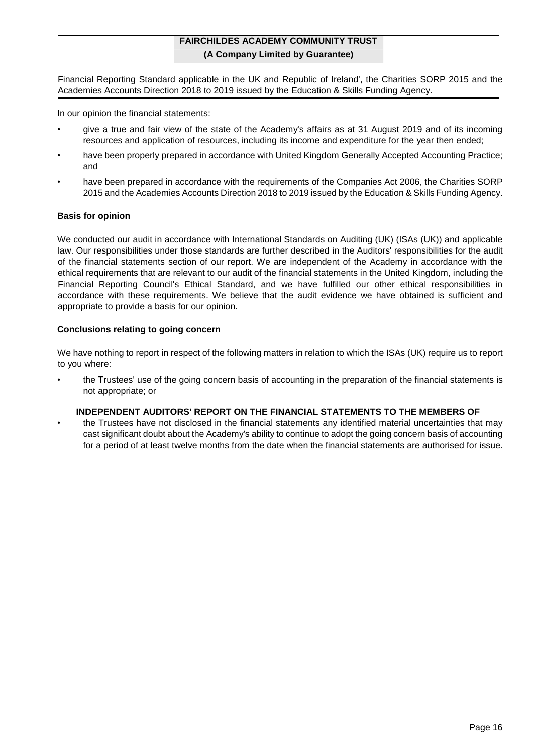Financial Reporting Standard applicable in the UK and Republic of Ireland', the Charities SORP 2015 and the Academies Accounts Direction 2018 to 2019 issued by the Education & Skills Funding Agency.

In our opinion the financial statements:

- give a true and fair view of the state of the Academy's affairs as at 31 August 2019 and of its incoming resources and application of resources, including its income and expenditure for the year then ended;
- have been properly prepared in accordance with United Kingdom Generally Accepted Accounting Practice; and
- have been prepared in accordance with the requirements of the Companies Act 2006, the Charities SORP 2015 and the Academies Accounts Direction 2018 to 2019 issued by the Education & Skills Funding Agency.

## **Basis for opinion**

We conducted our audit in accordance with International Standards on Auditing (UK) (ISAs (UK)) and applicable law. Our responsibilities under those standards are further described in the Auditors' responsibilities for the audit of the financial statements section of our report. We are independent of the Academy in accordance with the ethical requirements that are relevant to our audit of the financial statements in the United Kingdom, including the Financial Reporting Council's Ethical Standard, and we have fulfilled our other ethical responsibilities in accordance with these requirements. We believe that the audit evidence we have obtained is sufficient and appropriate to provide a basis for our opinion.

## **Conclusions relating to going concern**

We have nothing to report in respect of the following matters in relation to which the ISAs (UK) require us to report to you where:

• the Trustees' use of the going concern basis of accounting in the preparation of the financial statements is not appropriate; or

## **INDEPENDENT AUDITORS' REPORT ON THE FINANCIAL STATEMENTS TO THE MEMBERS OF**

• the Trustees have not disclosed in the financial statements any identified material uncertainties that may cast significant doubt about the Academy's ability to continue to adopt the going concern basis of accounting for a period of at least twelve months from the date when the financial statements are authorised for issue.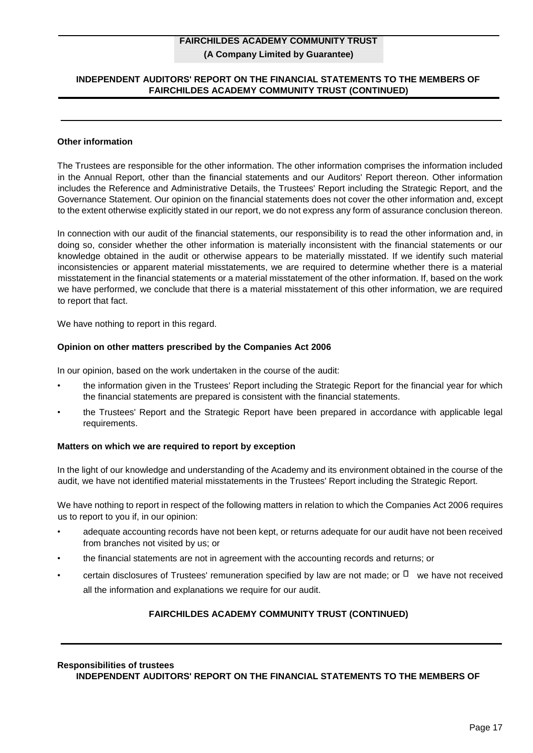## **INDEPENDENT AUDITORS' REPORT ON THE FINANCIAL STATEMENTS TO THE MEMBERS OF FAIRCHILDES ACADEMY COMMUNITY TRUST (CONTINUED)**

#### **Other information**

The Trustees are responsible for the other information. The other information comprises the information included in the Annual Report, other than the financial statements and our Auditors' Report thereon. Other information includes the Reference and Administrative Details, the Trustees' Report including the Strategic Report, and the Governance Statement. Our opinion on the financial statements does not cover the other information and, except to the extent otherwise explicitly stated in our report, we do not express any form of assurance conclusion thereon.

In connection with our audit of the financial statements, our responsibility is to read the other information and, in doing so, consider whether the other information is materially inconsistent with the financial statements or our knowledge obtained in the audit or otherwise appears to be materially misstated. If we identify such material inconsistencies or apparent material misstatements, we are required to determine whether there is a material misstatement in the financial statements or a material misstatement of the other information. If, based on the work we have performed, we conclude that there is a material misstatement of this other information, we are required to report that fact.

We have nothing to report in this regard.

#### **Opinion on other matters prescribed by the Companies Act 2006**

In our opinion, based on the work undertaken in the course of the audit:

- the information given in the Trustees' Report including the Strategic Report for the financial year for which the financial statements are prepared is consistent with the financial statements.
- the Trustees' Report and the Strategic Report have been prepared in accordance with applicable legal requirements.

#### **Matters on which we are required to report by exception**

In the light of our knowledge and understanding of the Academy and its environment obtained in the course of the audit, we have not identified material misstatements in the Trustees' Report including the Strategic Report.

We have nothing to report in respect of the following matters in relation to which the Companies Act 2006 requires us to report to you if, in our opinion:

- adequate accounting records have not been kept, or returns adequate for our audit have not been received from branches not visited by us; or
- the financial statements are not in agreement with the accounting records and returns; or
- certain disclosures of Trustees' remuneration specified by law are not made; or  $\Box$  we have not received all the information and explanations we require for our audit.

## **FAIRCHILDES ACADEMY COMMUNITY TRUST (CONTINUED)**

#### **Responsibilities of trustees**

**INDEPENDENT AUDITORS' REPORT ON THE FINANCIAL STATEMENTS TO THE MEMBERS OF**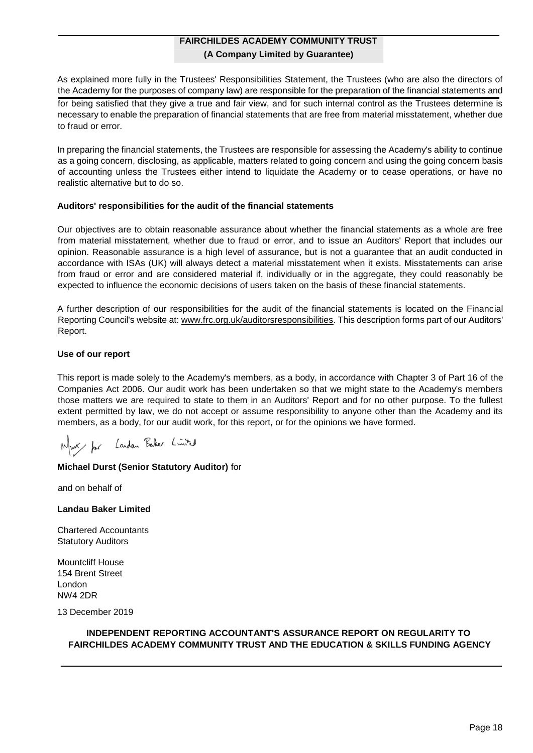As explained more fully in the Trustees' Responsibilities Statement, the Trustees (who are also the directors of the Academy for the purposes of company law) are responsible for the preparation of the financial statements and for being satisfied that they give a true and fair view, and for such internal control as the Trustees determine is necessary to enable the preparation of financial statements that are free from material misstatement, whether due to fraud or error.

In preparing the financial statements, the Trustees are responsible for assessing the Academy's ability to continue as a going concern, disclosing, as applicable, matters related to going concern and using the going concern basis of accounting unless the Trustees either intend to liquidate the Academy or to cease operations, or have no realistic alternative but to do so.

## **Auditors' responsibilities for the audit of the financial statements**

Our objectives are to obtain reasonable assurance about whether the financial statements as a whole are free from material misstatement, whether due to fraud or error, and to issue an Auditors' Report that includes our opinion. Reasonable assurance is a high level of assurance, but is not a guarantee that an audit conducted in accordance with ISAs (UK) will always detect a material misstatement when it exists. Misstatements can arise from fraud or error and are considered material if, individually or in the aggregate, they could reasonably be expected to influence the economic decisions of users taken on the basis of these financial statements.

A further description of our responsibilities for the audit of the financial statements is located on the Financial Reporting Council's website at: www.frc.org.uk/auditorsresponsibilities. This description forms part of our Auditors' Report.

## **Use of our report**

This report is made solely to the Academy's members, as a body, in accordance with Chapter 3 of Part 16 of the Companies Act 2006. Our audit work has been undertaken so that we might state to the Academy's members those matters we are required to state to them in an Auditors' Report and for no other purpose. To the fullest extent permitted by law, we do not accept or assume responsibility to anyone other than the Academy and its members, as a body, for our audit work, for this report, or for the opinions we have formed.

Must for Landan Baker Limited

# **Michael Durst (Senior Statutory Auditor)** for

and on behalf of

**Landau Baker Limited**

Chartered Accountants Statutory Auditors

Mountcliff House 154 Brent Street London NW4 2DR

13 December 2019

## **INDEPENDENT REPORTING ACCOUNTANT'S ASSURANCE REPORT ON REGULARITY TO FAIRCHILDES ACADEMY COMMUNITY TRUST AND THE EDUCATION & SKILLS FUNDING AGENCY**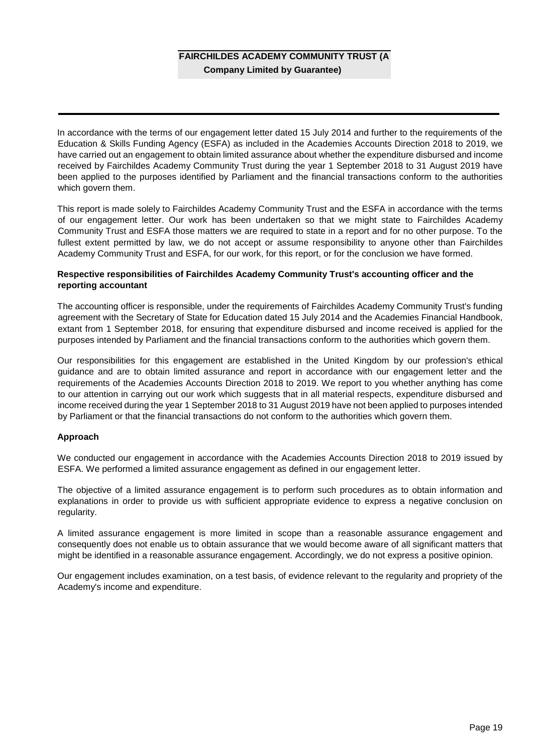In accordance with the terms of our engagement letter dated 15 July 2014 and further to the requirements of the Education & Skills Funding Agency (ESFA) as included in the Academies Accounts Direction 2018 to 2019, we have carried out an engagement to obtain limited assurance about whether the expenditure disbursed and income received by Fairchildes Academy Community Trust during the year 1 September 2018 to 31 August 2019 have been applied to the purposes identified by Parliament and the financial transactions conform to the authorities which govern them.

This report is made solely to Fairchildes Academy Community Trust and the ESFA in accordance with the terms of our engagement letter. Our work has been undertaken so that we might state to Fairchildes Academy Community Trust and ESFA those matters we are required to state in a report and for no other purpose. To the fullest extent permitted by law, we do not accept or assume responsibility to anyone other than Fairchildes Academy Community Trust and ESFA, for our work, for this report, or for the conclusion we have formed.

## **Respective responsibilities of Fairchildes Academy Community Trust's accounting officer and the reporting accountant**

The accounting officer is responsible, under the requirements of Fairchildes Academy Community Trust's funding agreement with the Secretary of State for Education dated 15 July 2014 and the Academies Financial Handbook, extant from 1 September 2018, for ensuring that expenditure disbursed and income received is applied for the purposes intended by Parliament and the financial transactions conform to the authorities which govern them.

Our responsibilities for this engagement are established in the United Kingdom by our profession's ethical guidance and are to obtain limited assurance and report in accordance with our engagement letter and the requirements of the Academies Accounts Direction 2018 to 2019. We report to you whether anything has come to our attention in carrying out our work which suggests that in all material respects, expenditure disbursed and income received during the year 1 September 2018 to 31 August 2019 have not been applied to purposes intended by Parliament or that the financial transactions do not conform to the authorities which govern them.

## **Approach**

We conducted our engagement in accordance with the Academies Accounts Direction 2018 to 2019 issued by ESFA. We performed a limited assurance engagement as defined in our engagement letter.

The objective of a limited assurance engagement is to perform such procedures as to obtain information and explanations in order to provide us with sufficient appropriate evidence to express a negative conclusion on regularity.

A limited assurance engagement is more limited in scope than a reasonable assurance engagement and consequently does not enable us to obtain assurance that we would become aware of all significant matters that might be identified in a reasonable assurance engagement. Accordingly, we do not express a positive opinion.

Our engagement includes examination, on a test basis, of evidence relevant to the regularity and propriety of the Academy's income and expenditure.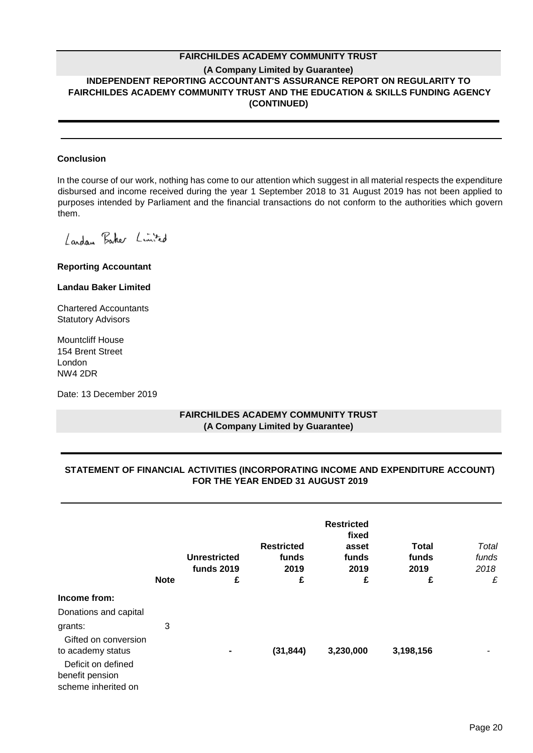## **FAIRCHILDES ACADEMY COMMUNITY TRUST**

## **(A Company Limited by Guarantee) INDEPENDENT REPORTING ACCOUNTANT'S ASSURANCE REPORT ON REGULARITY TO FAIRCHILDES ACADEMY COMMUNITY TRUST AND THE EDUCATION & SKILLS FUNDING AGENCY (CONTINUED)**

#### **Conclusion**

In the course of our work, nothing has come to our attention which suggest in all material respects the expenditure disbursed and income received during the year 1 September 2018 to 31 August 2019 has not been applied to purposes intended by Parliament and the financial transactions do not conform to the authorities which govern them.

Landan Baker Limited

**Reporting Accountant**

#### **Landau Baker Limited**

Chartered Accountants Statutory Advisors

Mountcliff House 154 Brent Street London NW4 2DR

Date: 13 December 2019

## **FAIRCHILDES ACADEMY COMMUNITY TRUST (A Company Limited by Guarantee)**

# **STATEMENT OF FINANCIAL ACTIVITIES (INCORPORATING INCOME AND EXPENDITURE ACCOUNT) FOR THE YEAR ENDED 31 AUGUST 2019**

|                       |             |                     |                   | <b>Restricted</b> |              |       |
|-----------------------|-------------|---------------------|-------------------|-------------------|--------------|-------|
|                       |             |                     |                   | fixed             |              |       |
|                       |             |                     | <b>Restricted</b> | asset             | <b>Total</b> | Total |
|                       |             | <b>Unrestricted</b> | funds             | funds             | funds        | funds |
|                       |             | <b>funds 2019</b>   | 2019              | 2019              | 2019         | 2018  |
|                       | <b>Note</b> | £                   | £                 | £                 | £            | £     |
| Income from:          |             |                     |                   |                   |              |       |
| Donations and capital |             |                     |                   |                   |              |       |
| grants:               | 3           |                     |                   |                   |              |       |
| Gifted on conversion  |             |                     |                   |                   |              |       |
| to academy status     |             | $\blacksquare$      | (31, 844)         | 3,230,000         | 3,198,156    |       |
| Deficit on defined    |             |                     |                   |                   |              |       |
| benefit pension       |             |                     |                   |                   |              |       |
| scheme inherited on   |             |                     |                   |                   |              |       |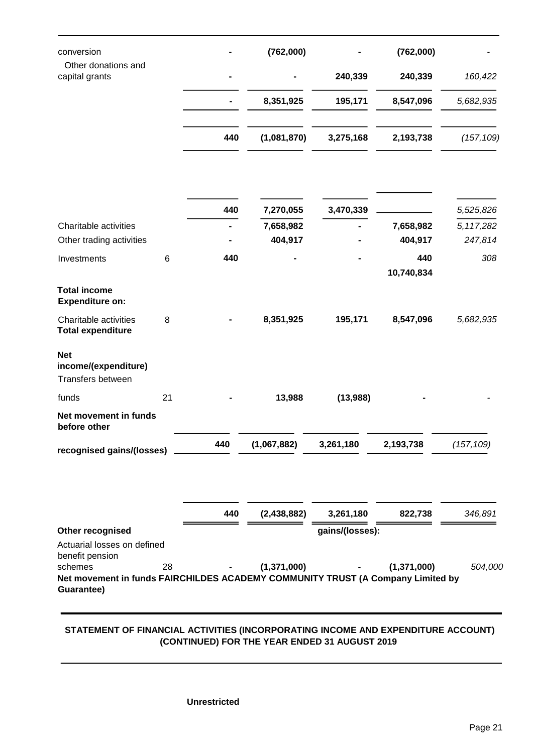| conversion                                                                                 |    |     | (762,000)     |                 | (762,000)         |             |
|--------------------------------------------------------------------------------------------|----|-----|---------------|-----------------|-------------------|-------------|
| Other donations and<br>capital grants                                                      |    |     |               | 240,339         | 240,339           | 160,422     |
|                                                                                            |    |     | 8,351,925     | 195,171         | 8,547,096         | 5,682,935   |
|                                                                                            |    | 440 | (1,081,870)   | 3,275,168       | 2,193,738         | (157, 109)  |
|                                                                                            |    |     |               |                 |                   |             |
|                                                                                            |    | 440 | 7,270,055     | 3,470,339       |                   | 5,525,826   |
| Charitable activities                                                                      |    |     | 7,658,982     |                 | 7,658,982         | 5, 117, 282 |
| Other trading activities                                                                   |    |     | 404,917       |                 | 404,917           | 247,814     |
| Investments                                                                                | 6  | 440 |               |                 | 440<br>10,740,834 | 308         |
| <b>Total income</b><br><b>Expenditure on:</b>                                              |    |     |               |                 |                   |             |
| Charitable activities<br><b>Total expenditure</b>                                          | 8  |     | 8,351,925     | 195,171         | 8,547,096         | 5,682,935   |
| <b>Net</b><br>income/(expenditure)<br>Transfers between                                    |    |     |               |                 |                   |             |
| funds                                                                                      | 21 |     | 13,988        | (13,988)        |                   |             |
| Net movement in funds<br>before other                                                      |    |     |               |                 |                   |             |
| recognised gains/(losses)                                                                  |    | 440 | (1,067,882)   | 3,261,180       | 2,193,738         | (157, 109)  |
|                                                                                            |    |     |               |                 |                   |             |
|                                                                                            |    | 440 | (2,438,882)   | 3,261,180       | 822,738           | 346,891     |
| Other recognised                                                                           |    |     |               | gains/(losses): |                   |             |
| Actuarial losses on defined<br>benefit pension                                             |    |     |               |                 |                   |             |
| schemes<br>Net movement in funds FAIRCHILDES ACADEMY COMMUNITY TRUST (A Company Limited by | 28 |     | (1, 371, 000) |                 | (1,371,000)       | 504,000     |
| Guarantee)                                                                                 |    |     |               |                 |                   |             |

# **STATEMENT OF FINANCIAL ACTIVITIES (INCORPORATING INCOME AND EXPENDITURE ACCOUNT) (CONTINUED) FOR THE YEAR ENDED 31 AUGUST 2019**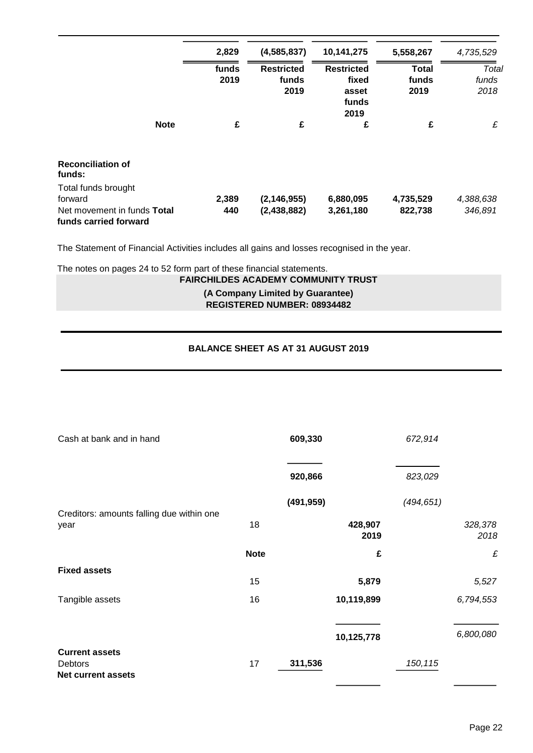|                                    |             | 2,829 | (4,585,837)       | 10,141,275        | 5,558,267    | 4,735,529 |
|------------------------------------|-------------|-------|-------------------|-------------------|--------------|-----------|
|                                    |             | funds | <b>Restricted</b> | <b>Restricted</b> | <b>Total</b> | Total     |
|                                    |             | 2019  | funds             | fixed             | funds        | funds     |
|                                    |             |       | 2019              | asset             | 2019         | 2018      |
|                                    |             |       |                   | funds             |              |           |
|                                    |             |       |                   | 2019              |              |           |
|                                    | <b>Note</b> | £     | £                 | £                 | £            | £         |
| <b>Reconciliation of</b><br>funds: |             |       |                   |                   |              |           |
| Total funds brought                |             |       |                   |                   |              |           |
| forward                            |             | 2,389 | (2, 146, 955)     | 6,880,095         | 4,735,529    | 4,388,638 |
| Net movement in funds Total        |             | 440   | (2,438,882)       | 3,261,180         | 822,738      | 346,891   |
| funds carried forward              |             |       |                   |                   |              |           |

The Statement of Financial Activities includes all gains and losses recognised in the year.

The notes on pages 24 to 52 form part of these financial statements.

**FAIRCHILDES ACADEMY COMMUNITY TRUST**

**(A Company Limited by Guarantee) REGISTERED NUMBER: 08934482**

# **BALANCE SHEET AS AT 31 AUGUST 2019**

| Cash at bank and in hand                                      |             | 609,330    |                 | 672,914    |                 |
|---------------------------------------------------------------|-------------|------------|-----------------|------------|-----------------|
|                                                               |             | 920,866    |                 | 823,029    |                 |
| Creditors: amounts falling due within one                     |             | (491, 959) |                 | (494, 651) |                 |
| year                                                          | 18          |            | 428,907<br>2019 |            | 328,378<br>2018 |
|                                                               | <b>Note</b> |            | £               |            | £               |
| <b>Fixed assets</b>                                           |             |            |                 |            |                 |
|                                                               | 15          |            | 5,879           |            | 5,527           |
| Tangible assets                                               | 16          |            | 10,119,899      |            | 6,794,553       |
|                                                               |             |            |                 |            |                 |
|                                                               |             |            | 10,125,778      |            | 6,800,080       |
| <b>Current assets</b><br>Debtors<br><b>Net current assets</b> | 17          | 311,536    |                 | 150,115    |                 |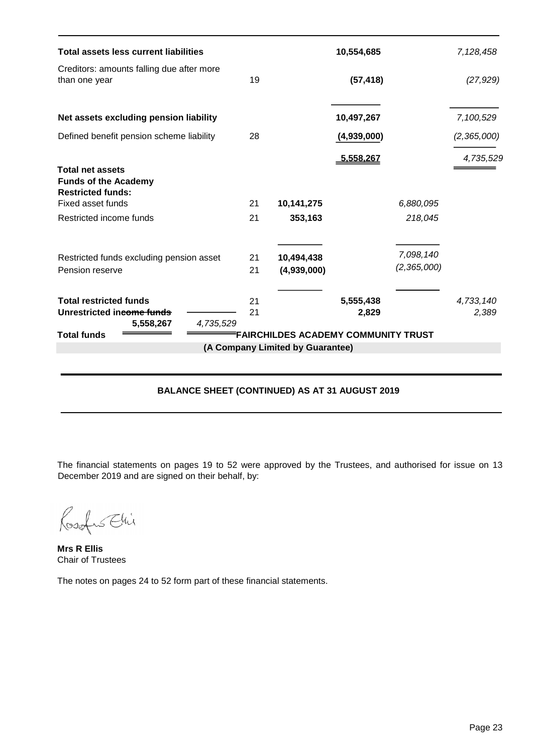| <b>Total assets less current liabilities</b>                                         |                                            |                                  | 10,554,685         |                          | 7,128,458          |  |  |  |
|--------------------------------------------------------------------------------------|--------------------------------------------|----------------------------------|--------------------|--------------------------|--------------------|--|--|--|
| Creditors: amounts falling due after more<br>than one year                           | 19                                         |                                  | (57, 418)          |                          | (27, 929)          |  |  |  |
| Net assets excluding pension liability                                               |                                            |                                  | 10,497,267         |                          | 7,100,529          |  |  |  |
| Defined benefit pension scheme liability                                             | 28                                         |                                  | (4,939,000)        |                          | (2, 365, 000)      |  |  |  |
| <b>Total net assets</b><br><b>Funds of the Academy</b>                               |                                            |                                  | 5,558,267          |                          | 4,735,529          |  |  |  |
| <b>Restricted funds:</b><br>Fixed asset funds                                        | 21                                         | 10,141,275                       |                    | 6,880,095                |                    |  |  |  |
| Restricted income funds                                                              | 21                                         | 353,163                          |                    | 218,045                  |                    |  |  |  |
| Restricted funds excluding pension asset<br>Pension reserve                          | 21<br>21                                   | 10,494,438<br>(4,939,000)        |                    | 7,098,140<br>(2,365,000) |                    |  |  |  |
| <b>Total restricted funds</b><br>Unrestricted income funds<br>5,558,267<br>4,735,529 | 21<br>21                                   |                                  | 5,555,438<br>2,829 |                          | 4,733,140<br>2,389 |  |  |  |
| <b>Total funds</b>                                                                   | <b>FAIRCHILDES ACADEMY COMMUNITY TRUST</b> |                                  |                    |                          |                    |  |  |  |
|                                                                                      |                                            | (A Company Limited by Guarantee) |                    |                          |                    |  |  |  |

# **BALANCE SHEET (CONTINUED) AS AT 31 AUGUST 2019**

The financial statements on pages 19 to 52 were approved by the Trustees, and authorised for issue on 13 December 2019 and are signed on their behalf, by:

Rosefus Ehi

**Mrs R Ellis** Chair of Trustees

The notes on pages 24 to 52 form part of these financial statements.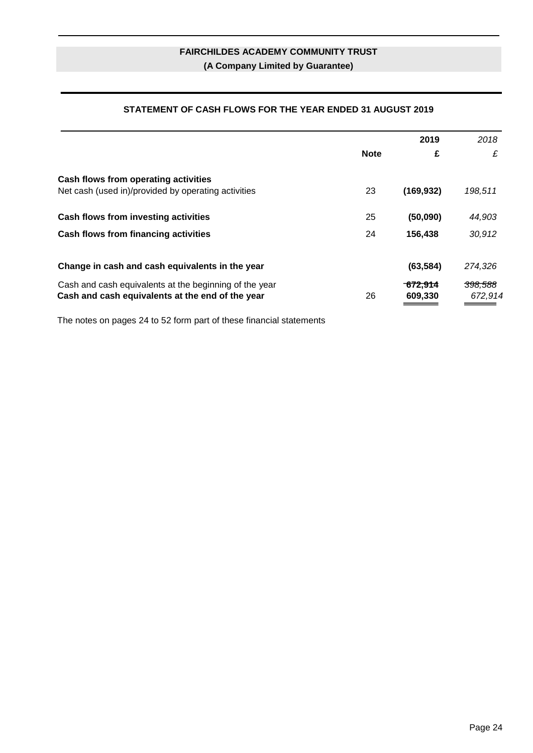# **STATEMENT OF CASH FLOWS FOR THE YEAR ENDED 31 AUGUST 2019**

|                                                                                                            |             | 2019                           | 2018                          |
|------------------------------------------------------------------------------------------------------------|-------------|--------------------------------|-------------------------------|
|                                                                                                            | <b>Note</b> | £                              | £                             |
| Cash flows from operating activities<br>Net cash (used in)/provided by operating activities                | 23          | (169, 932)                     | 198,511                       |
| Cash flows from investing activities                                                                       | 25          | (50,090)                       | 44,903                        |
| Cash flows from financing activities                                                                       | 24          | 156,438                        | 30,912                        |
| Change in cash and cash equivalents in the year                                                            |             | (63, 584)                      | 274,326                       |
| Cash and cash equivalents at the beginning of the year<br>Cash and cash equivalents at the end of the year | 26          | <del>.672,914</del><br>609.330 | <del>398,588</del><br>672,914 |

The notes on pages 24 to 52 form part of these financial statements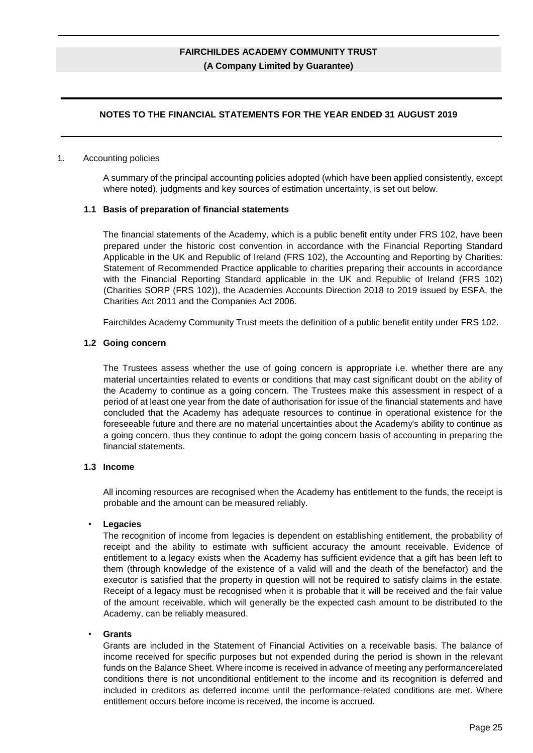## **NOTES TO THE FINANCIAL STATEMENTS FOR THE YEAR ENDED 31 AUGUST 2019**

#### 1. Accounting policies

A summary of the principal accounting policies adopted (which have been applied consistently, except where noted), judgments and key sources of estimation uncertainty, is set out below.

#### **1.1 Basis of preparation of financial statements**

The financial statements of the Academy, which is a public benefit entity under FRS 102, have been prepared under the historic cost convention in accordance with the Financial Reporting Standard Applicable in the UK and Republic of Ireland (FRS 102), the Accounting and Reporting by Charities: Statement of Recommended Practice applicable to charities preparing their accounts in accordance with the Financial Reporting Standard applicable in the UK and Republic of Ireland (FRS 102) (Charities SORP (FRS 102)), the Academies Accounts Direction 2018 to 2019 issued by ESFA, the Charities Act 2011 and the Companies Act 2006.

Fairchildes Academy Community Trust meets the definition of a public benefit entity under FRS 102.

#### **1.2 Going concern**

The Trustees assess whether the use of going concern is appropriate i.e. whether there are any material uncertainties related to events or conditions that may cast significant doubt on the ability of the Academy to continue as a going concern. The Trustees make this assessment in respect of a period of at least one year from the date of authorisation for issue of the financial statements and have concluded that the Academy has adequate resources to continue in operational existence for the foreseeable future and there are no material uncertainties about the Academy's ability to continue as a going concern, thus they continue to adopt the going concern basis of accounting in preparing the financial statements.

#### **1.3 Income**

All incoming resources are recognised when the Academy has entitlement to the funds, the receipt is probable and the amount can be measured reliably.

#### • **Legacies**

The recognition of income from legacies is dependent on establishing entitlement, the probability of receipt and the ability to estimate with sufficient accuracy the amount receivable. Evidence of entitlement to a legacy exists when the Academy has sufficient evidence that a gift has been left to them (through knowledge of the existence of a valid will and the death of the benefactor) and the executor is satisfied that the property in question will not be required to satisfy claims in the estate. Receipt of a legacy must be recognised when it is probable that it will be received and the fair value of the amount receivable, which will generally be the expected cash amount to be distributed to the Academy, can be reliably measured.

#### • **Grants**

Grants are included in the Statement of Financial Activities on a receivable basis. The balance of income received for specific purposes but not expended during the period is shown in the relevant funds on the Balance Sheet. Where income is received in advance of meeting any performancerelated conditions there is not unconditional entitlement to the income and its recognition is deferred and included in creditors as deferred income until the performance-related conditions are met. Where entitlement occurs before income is received, the income is accrued.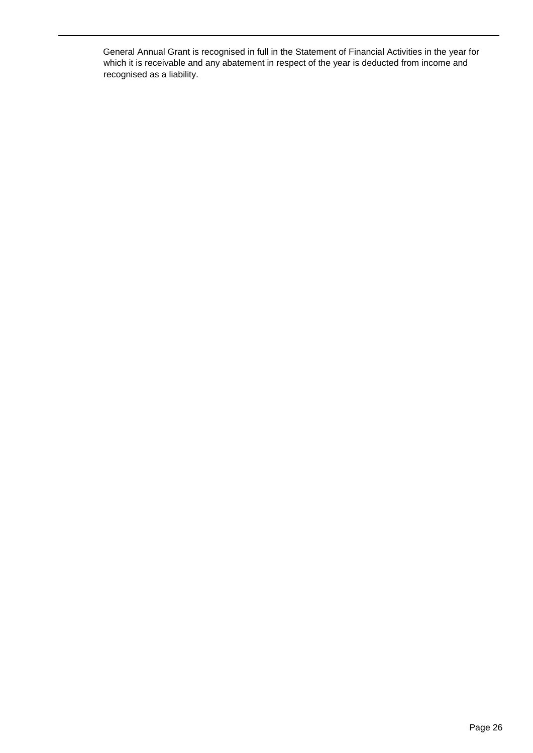General Annual Grant is recognised in full in the Statement of Financial Activities in the year for which it is receivable and any abatement in respect of the year is deducted from income and recognised as a liability.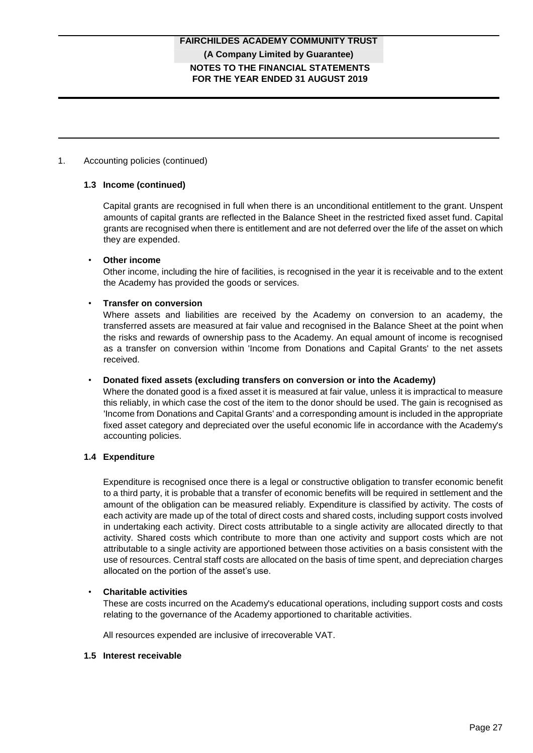## 1. Accounting policies (continued)

#### **1.3 Income (continued)**

Capital grants are recognised in full when there is an unconditional entitlement to the grant. Unspent amounts of capital grants are reflected in the Balance Sheet in the restricted fixed asset fund. Capital grants are recognised when there is entitlement and are not deferred over the life of the asset on which they are expended.

#### • **Other income**

Other income, including the hire of facilities, is recognised in the year it is receivable and to the extent the Academy has provided the goods or services.

#### • **Transfer on conversion**

Where assets and liabilities are received by the Academy on conversion to an academy, the transferred assets are measured at fair value and recognised in the Balance Sheet at the point when the risks and rewards of ownership pass to the Academy. An equal amount of income is recognised as a transfer on conversion within 'Income from Donations and Capital Grants' to the net assets received.

#### • **Donated fixed assets (excluding transfers on conversion or into the Academy)**

Where the donated good is a fixed asset it is measured at fair value, unless it is impractical to measure this reliably, in which case the cost of the item to the donor should be used. The gain is recognised as 'Income from Donations and Capital Grants' and a corresponding amount is included in the appropriate fixed asset category and depreciated over the useful economic life in accordance with the Academy's accounting policies.

## **1.4 Expenditure**

Expenditure is recognised once there is a legal or constructive obligation to transfer economic benefit to a third party, it is probable that a transfer of economic benefits will be required in settlement and the amount of the obligation can be measured reliably. Expenditure is classified by activity. The costs of each activity are made up of the total of direct costs and shared costs, including support costs involved in undertaking each activity. Direct costs attributable to a single activity are allocated directly to that activity. Shared costs which contribute to more than one activity and support costs which are not attributable to a single activity are apportioned between those activities on a basis consistent with the use of resources. Central staff costs are allocated on the basis of time spent, and depreciation charges allocated on the portion of the asset's use.

## • **Charitable activities**

These are costs incurred on the Academy's educational operations, including support costs and costs relating to the governance of the Academy apportioned to charitable activities.

All resources expended are inclusive of irrecoverable VAT.

#### **1.5 Interest receivable**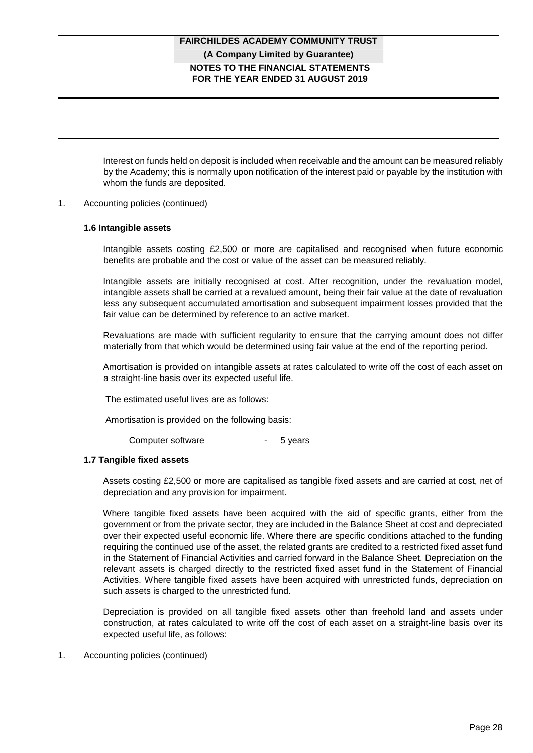# **NOTES TO THE FINANCIAL STATEMENTS FOR THE YEAR ENDED 31 AUGUST 2019 FAIRCHILDES ACADEMY COMMUNITY TRUST (A Company Limited by Guarantee)**

Interest on funds held on deposit is included when receivable and the amount can be measured reliably by the Academy; this is normally upon notification of the interest paid or payable by the institution with whom the funds are deposited.

#### 1. Accounting policies (continued)

#### **1.6 Intangible assets**

Intangible assets costing £2,500 or more are capitalised and recognised when future economic benefits are probable and the cost or value of the asset can be measured reliably.

Intangible assets are initially recognised at cost. After recognition, under the revaluation model, intangible assets shall be carried at a revalued amount, being their fair value at the date of revaluation less any subsequent accumulated amortisation and subsequent impairment losses provided that the fair value can be determined by reference to an active market.

Revaluations are made with sufficient regularity to ensure that the carrying amount does not differ materially from that which would be determined using fair value at the end of the reporting period.

Amortisation is provided on intangible assets at rates calculated to write off the cost of each asset on a straight-line basis over its expected useful life.

The estimated useful lives are as follows:

Amortisation is provided on the following basis:

Computer software **-** 5 years

## **1.7 Tangible fixed assets**

Assets costing £2,500 or more are capitalised as tangible fixed assets and are carried at cost, net of depreciation and any provision for impairment.

Where tangible fixed assets have been acquired with the aid of specific grants, either from the government or from the private sector, they are included in the Balance Sheet at cost and depreciated over their expected useful economic life. Where there are specific conditions attached to the funding requiring the continued use of the asset, the related grants are credited to a restricted fixed asset fund in the Statement of Financial Activities and carried forward in the Balance Sheet. Depreciation on the relevant assets is charged directly to the restricted fixed asset fund in the Statement of Financial Activities. Where tangible fixed assets have been acquired with unrestricted funds, depreciation on such assets is charged to the unrestricted fund.

Depreciation is provided on all tangible fixed assets other than freehold land and assets under construction, at rates calculated to write off the cost of each asset on a straight-line basis over its expected useful life, as follows:

1. Accounting policies (continued)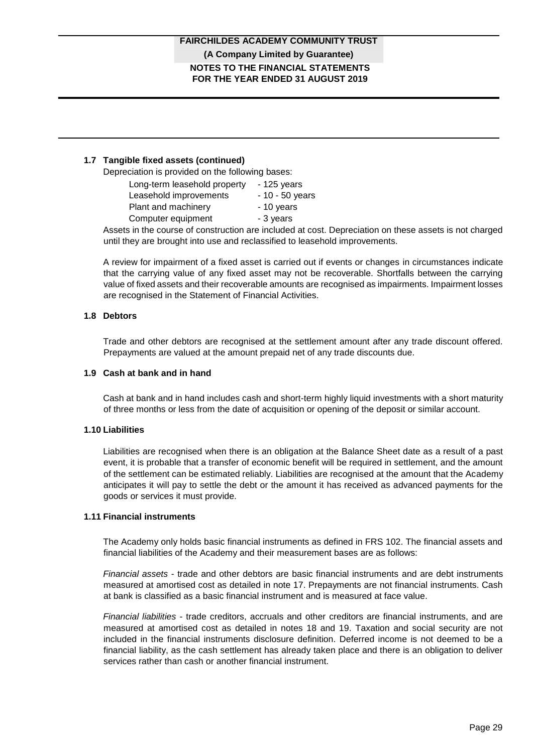## **1.7 Tangible fixed assets (continued)**

Depreciation is provided on the following bases:

|                                                                                                                                                                                                                                 | Long-term leasehold property | $-125$ years     |
|---------------------------------------------------------------------------------------------------------------------------------------------------------------------------------------------------------------------------------|------------------------------|------------------|
| Leasehold improvements                                                                                                                                                                                                          |                              | $-10 - 50$ years |
| Plant and machinery                                                                                                                                                                                                             |                              | - 10 years       |
| Computer equipment                                                                                                                                                                                                              |                              | - 3 years        |
| $\sim$ . The contract of the contract of the contract of the contract of the contract of the contract of the contract of the contract of the contract of the contract of the contract of the contract of the contract of the co |                              |                  |

Assets in the course of construction are included at cost. Depreciation on these assets is not charged until they are brought into use and reclassified to leasehold improvements.

A review for impairment of a fixed asset is carried out if events or changes in circumstances indicate that the carrying value of any fixed asset may not be recoverable. Shortfalls between the carrying value of fixed assets and their recoverable amounts are recognised as impairments. Impairment losses are recognised in the Statement of Financial Activities.

## **1.8 Debtors**

Trade and other debtors are recognised at the settlement amount after any trade discount offered. Prepayments are valued at the amount prepaid net of any trade discounts due.

## **1.9 Cash at bank and in hand**

Cash at bank and in hand includes cash and short-term highly liquid investments with a short maturity of three months or less from the date of acquisition or opening of the deposit or similar account.

## **1.10 Liabilities**

Liabilities are recognised when there is an obligation at the Balance Sheet date as a result of a past event, it is probable that a transfer of economic benefit will be required in settlement, and the amount of the settlement can be estimated reliably. Liabilities are recognised at the amount that the Academy anticipates it will pay to settle the debt or the amount it has received as advanced payments for the goods or services it must provide.

## **1.11 Financial instruments**

The Academy only holds basic financial instruments as defined in FRS 102. The financial assets and financial liabilities of the Academy and their measurement bases are as follows:

*Financial assets* - trade and other debtors are basic financial instruments and are debt instruments measured at amortised cost as detailed in note 17. Prepayments are not financial instruments. Cash at bank is classified as a basic financial instrument and is measured at face value.

*Financial liabilities* - trade creditors, accruals and other creditors are financial instruments, and are measured at amortised cost as detailed in notes 18 and 19. Taxation and social security are not included in the financial instruments disclosure definition. Deferred income is not deemed to be a financial liability, as the cash settlement has already taken place and there is an obligation to deliver services rather than cash or another financial instrument.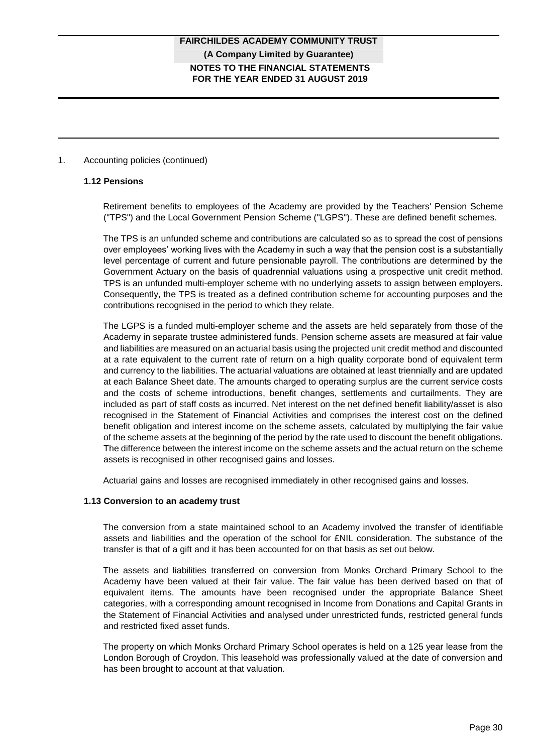## 1. Accounting policies (continued)

#### **1.12 Pensions**

Retirement benefits to employees of the Academy are provided by the Teachers' Pension Scheme ("TPS") and the Local Government Pension Scheme ("LGPS"). These are defined benefit schemes.

The TPS is an unfunded scheme and contributions are calculated so as to spread the cost of pensions over employees' working lives with the Academy in such a way that the pension cost is a substantially level percentage of current and future pensionable payroll. The contributions are determined by the Government Actuary on the basis of quadrennial valuations using a prospective unit credit method. TPS is an unfunded multi-employer scheme with no underlying assets to assign between employers. Consequently, the TPS is treated as a defined contribution scheme for accounting purposes and the contributions recognised in the period to which they relate.

The LGPS is a funded multi-employer scheme and the assets are held separately from those of the Academy in separate trustee administered funds. Pension scheme assets are measured at fair value and liabilities are measured on an actuarial basis using the projected unit credit method and discounted at a rate equivalent to the current rate of return on a high quality corporate bond of equivalent term and currency to the liabilities. The actuarial valuations are obtained at least triennially and are updated at each Balance Sheet date. The amounts charged to operating surplus are the current service costs and the costs of scheme introductions, benefit changes, settlements and curtailments. They are included as part of staff costs as incurred. Net interest on the net defined benefit liability/asset is also recognised in the Statement of Financial Activities and comprises the interest cost on the defined benefit obligation and interest income on the scheme assets, calculated by multiplying the fair value of the scheme assets at the beginning of the period by the rate used to discount the benefit obligations. The difference between the interest income on the scheme assets and the actual return on the scheme assets is recognised in other recognised gains and losses.

Actuarial gains and losses are recognised immediately in other recognised gains and losses.

## **1.13 Conversion to an academy trust**

The conversion from a state maintained school to an Academy involved the transfer of identifiable assets and liabilities and the operation of the school for £NIL consideration. The substance of the transfer is that of a gift and it has been accounted for on that basis as set out below.

The assets and liabilities transferred on conversion from Monks Orchard Primary School to the Academy have been valued at their fair value. The fair value has been derived based on that of equivalent items. The amounts have been recognised under the appropriate Balance Sheet categories, with a corresponding amount recognised in Income from Donations and Capital Grants in the Statement of Financial Activities and analysed under unrestricted funds, restricted general funds and restricted fixed asset funds.

The property on which Monks Orchard Primary School operates is held on a 125 year lease from the London Borough of Croydon. This leasehold was professionally valued at the date of conversion and has been brought to account at that valuation.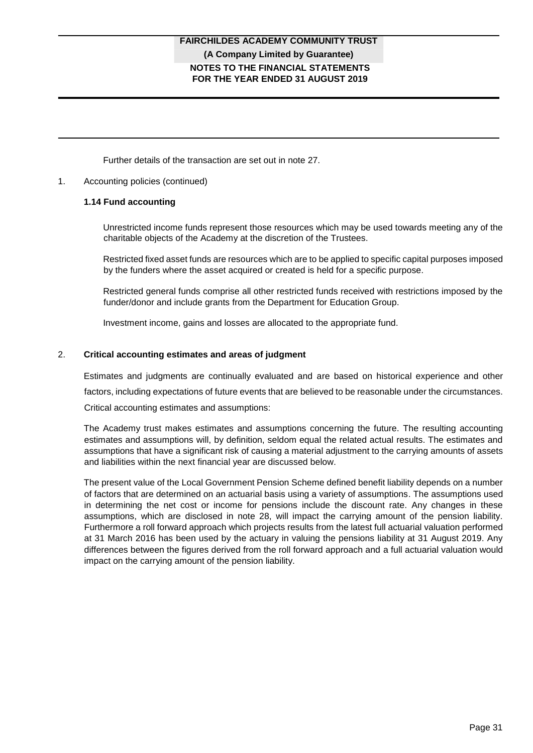# **NOTES TO THE FINANCIAL STATEMENTS FOR THE YEAR ENDED 31 AUGUST 2019 FAIRCHILDES ACADEMY COMMUNITY TRUST (A Company Limited by Guarantee)**

Further details of the transaction are set out in note 27.

### 1. Accounting policies (continued)

#### **1.14 Fund accounting**

Unrestricted income funds represent those resources which may be used towards meeting any of the charitable objects of the Academy at the discretion of the Trustees.

Restricted fixed asset funds are resources which are to be applied to specific capital purposes imposed by the funders where the asset acquired or created is held for a specific purpose.

Restricted general funds comprise all other restricted funds received with restrictions imposed by the funder/donor and include grants from the Department for Education Group.

Investment income, gains and losses are allocated to the appropriate fund.

#### 2. **Critical accounting estimates and areas of judgment**

Estimates and judgments are continually evaluated and are based on historical experience and other factors, including expectations of future events that are believed to be reasonable under the circumstances.

Critical accounting estimates and assumptions:

The Academy trust makes estimates and assumptions concerning the future. The resulting accounting estimates and assumptions will, by definition, seldom equal the related actual results. The estimates and assumptions that have a significant risk of causing a material adjustment to the carrying amounts of assets and liabilities within the next financial year are discussed below.

The present value of the Local Government Pension Scheme defined benefit liability depends on a number of factors that are determined on an actuarial basis using a variety of assumptions. The assumptions used in determining the net cost or income for pensions include the discount rate. Any changes in these assumptions, which are disclosed in note 28, will impact the carrying amount of the pension liability. Furthermore a roll forward approach which projects results from the latest full actuarial valuation performed at 31 March 2016 has been used by the actuary in valuing the pensions liability at 31 August 2019. Any differences between the figures derived from the roll forward approach and a full actuarial valuation would impact on the carrying amount of the pension liability.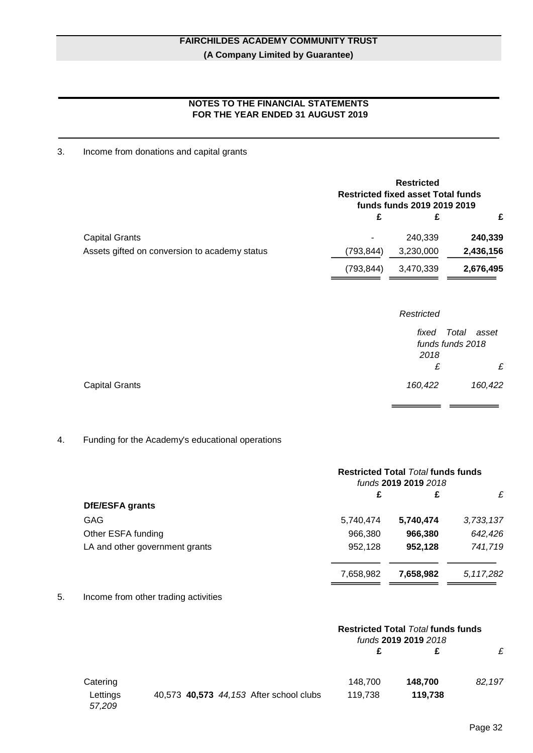# **NOTES TO THE FINANCIAL STATEMENTS FOR THE YEAR ENDED 31 AUGUST 2019**

# 3. Income from donations and capital grants

|                                               | <b>Restricted</b><br><b>Restricted fixed asset Total funds</b><br>funds funds 2019 2019 2019 |           |           |
|-----------------------------------------------|----------------------------------------------------------------------------------------------|-----------|-----------|
|                                               | £                                                                                            | £         | £         |
| <b>Capital Grants</b>                         |                                                                                              | 240,339   | 240,339   |
| Assets gifted on conversion to academy status | (793,844)                                                                                    | 3,230,000 | 2,436,156 |
|                                               | (793,844)                                                                                    | 3,470,339 | 2,676,495 |
|                                               |                                                                                              |           |           |

|                       | Restricted |                  |
|-----------------------|------------|------------------|
|                       | fixed      | Total asset      |
|                       |            | funds funds 2018 |
|                       | 2018       |                  |
|                       | £          | £                |
| <b>Capital Grants</b> | 160,422    | 160,422          |

## 4. Funding for the Academy's educational operations

|                                | <b>Restricted Total <i>Total</i> funds funds</b><br>funds 2019 2019 2018 |           |           |
|--------------------------------|--------------------------------------------------------------------------|-----------|-----------|
|                                | £                                                                        | £         | £         |
| <b>DfE/ESFA grants</b>         |                                                                          |           |           |
| GAG                            | 5,740,474                                                                | 5,740,474 | 3,733,137 |
| Other ESFA funding             | 966,380                                                                  | 966,380   | 642,426   |
| LA and other government grants | 952,128                                                                  | 952,128   | 741,719   |
|                                | 7,658,982                                                                | 7,658,982 | 5,117,282 |

## 5. Income from other trading activities

|                    |                                         | <b>Restricted Total <i>Total</i> funds funds</b><br>funds 2019 2019 2018 |         |        |
|--------------------|-----------------------------------------|--------------------------------------------------------------------------|---------|--------|
|                    |                                         |                                                                          |         | £      |
| Catering           |                                         | 148,700                                                                  | 148,700 | 82,197 |
| Lettings<br>57,209 | 40,573 40,573 44,153 After school clubs | 119.738                                                                  | 119,738 |        |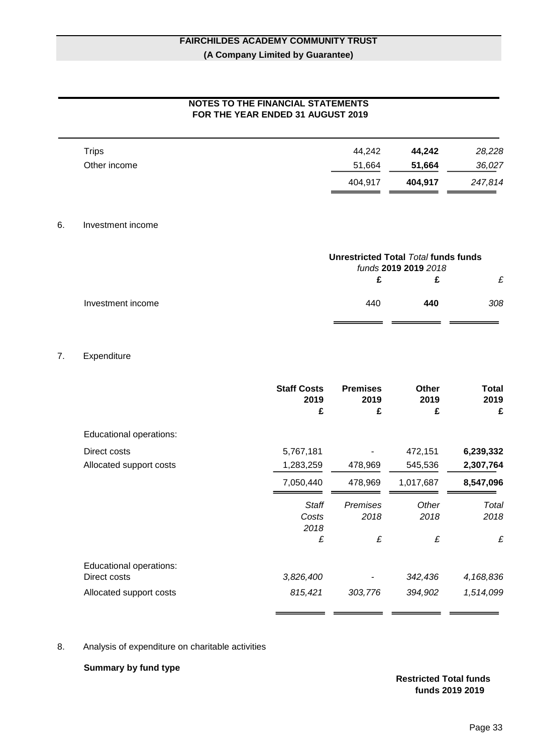# **NOTES TO THE FINANCIAL STATEMENTS FOR THE YEAR ENDED 31 AUGUST 2019**

|              | 404.917 | 404.917 | 247,814 |
|--------------|---------|---------|---------|
| Other income | 51,664  | 51,664  | 36,027  |
| Trips        | 44.242  | 44.242  | 28,228  |
|              |         |         |         |

#### 6. Investment income

| Unrestricted Total Total funds funds<br>funds 2019 2019 2018 |     |     |
|--------------------------------------------------------------|-----|-----|
|                                                              |     | £   |
| 440                                                          | 440 | 308 |
|                                                              |     |     |

#### 7. Expenditure

|                         | <b>Staff Costs</b><br>2019<br>£ | <b>Premises</b><br>2019<br>£ | <b>Other</b><br>2019<br>£ | Total<br>2019<br>£ |
|-------------------------|---------------------------------|------------------------------|---------------------------|--------------------|
| Educational operations: |                                 |                              |                           |                    |
| Direct costs            | 5,767,181                       |                              | 472,151                   | 6,239,332          |
| Allocated support costs | 1,283,259                       | 478,969                      | 545,536                   | 2,307,764          |
|                         | 7,050,440                       | 478,969                      | 1,017,687                 | 8,547,096          |
|                         | <b>Staff</b><br>Costs           | <b>Premises</b><br>2018      | Other<br>2018             | Total<br>2018      |
|                         | 2018<br>£                       | £                            | £                         | £                  |
| Educational operations: |                                 |                              |                           |                    |
| Direct costs            | 3,826,400                       |                              | 342,436                   | 4,168,836          |
| Allocated support costs | 815,421                         | 303,776                      | 394,902                   | 1,514,099          |
|                         |                                 |                              |                           |                    |

## 8. Analysis of expenditure on charitable activities

## **Summary by fund type**

### **Restricted Total funds funds 2019 2019**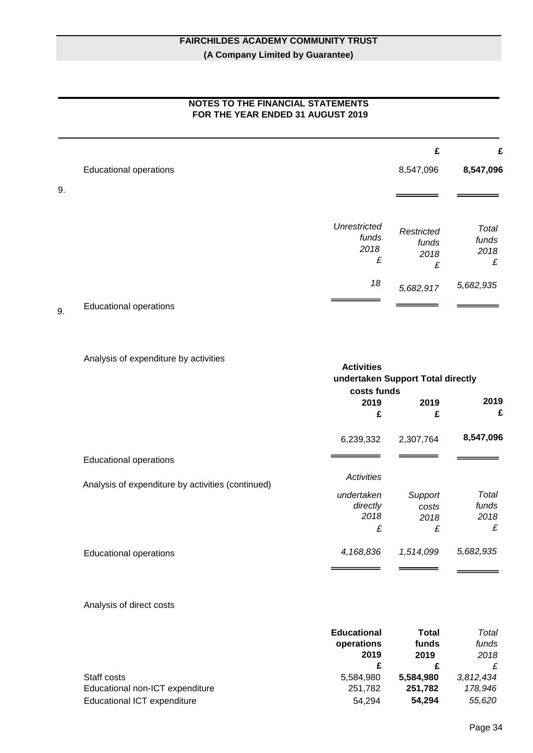|    | FOR THE YEAR ENDED 31 AUGUST 2019 |                                           |                                  |                             |
|----|-----------------------------------|-------------------------------------------|----------------------------------|-----------------------------|
|    |                                   |                                           | £                                | £                           |
|    | <b>Educational operations</b>     |                                           | 8,547,096                        | 8,547,096                   |
| 9. |                                   |                                           |                                  |                             |
|    |                                   | <b>Unrestricted</b><br>funds<br>2018<br>£ | Restricted<br>funds<br>2018<br>£ | Total<br>funds<br>2018<br>£ |
|    |                                   | 18                                        | 5,682,917                        | 5,682,935                   |

# **NOTES TO THE FINANCIAL STATEMENTS**

9. Educational operations

Analysis of expenditure by activities

|                                                   | <b>Activities</b> | undertaken Support Total directly |           |
|---------------------------------------------------|-------------------|-----------------------------------|-----------|
|                                                   | costs funds       |                                   |           |
|                                                   | 2019              | 2019                              | 2019      |
|                                                   | £                 | £                                 | £         |
|                                                   | 6,239,332         | 2,307,764                         | 8,547,096 |
| <b>Educational operations</b>                     |                   |                                   |           |
| Analysis of expenditure by activities (continued) | Activities        |                                   |           |
|                                                   | undertaken        | Support                           | Total     |
|                                                   | directly          | costs                             | funds     |
|                                                   | 2018              | 2018                              | 2018      |
|                                                   | £                 | £                                 | £         |
| <b>Educational operations</b>                     | 4,168,836         | 1,514,099                         | 5,682,935 |
|                                                   |                   |                                   |           |

Analysis of direct costs

|                                    | <b>Educational</b> | Total     | Total     |
|------------------------------------|--------------------|-----------|-----------|
|                                    | operations         | funds     | funds     |
|                                    | 2019               | 2019      | 2018      |
|                                    |                    |           | £         |
| Staff costs                        | 5,584,980          | 5,584,980 | 3,812,434 |
| Educational non-ICT expenditure    | 251,782            | 251,782   | 178,946   |
| <b>Educational ICT expenditure</b> | 54.294             | 54.294    | 55,620    |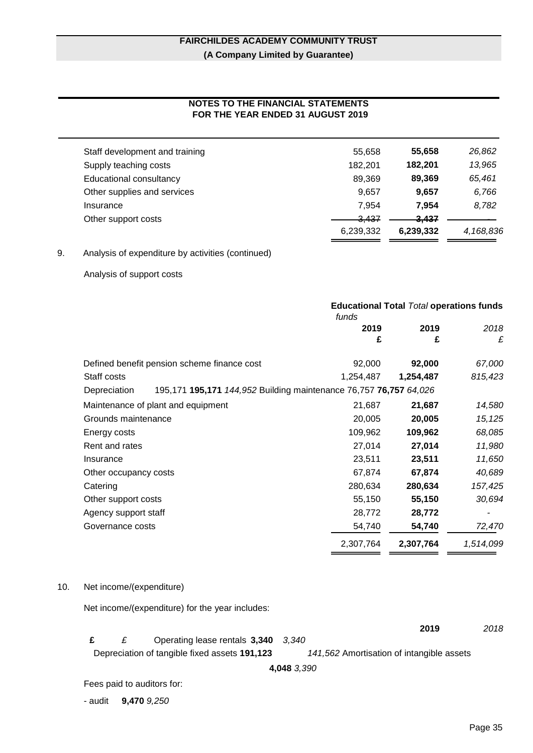# **NOTES TO THE FINANCIAL STATEMENTS FOR THE YEAR ENDED 31 AUGUST 2019**

| Staff development and training | 55.658           | 55,658           | 26,862    |
|--------------------------------|------------------|------------------|-----------|
| Supply teaching costs          | 182.201          | 182.201          | 13,965    |
| Educational consultancy        | 89,369           | 89.369           | 65,461    |
| Other supplies and services    | 9.657            | 9.657            | 6,766     |
| Insurance                      | 7.954            | 7.954            | 8,782     |
| Other support costs            | <del>3.437</del> | <del>3,437</del> |           |
|                                | 6,239,332        | 6,239,332        | 4,168,836 |
|                                |                  |                  |           |

# 9. Analysis of expenditure by activities (continued)

Analysis of support costs

|                       |                                                                   | funds     | <b>Educational Total Total operations funds</b> |           |
|-----------------------|-------------------------------------------------------------------|-----------|-------------------------------------------------|-----------|
|                       |                                                                   | 2019      | 2019                                            | 2018      |
|                       |                                                                   | £         | £                                               | £         |
|                       | Defined benefit pension scheme finance cost                       | 92,000    | 92,000                                          | 67,000    |
| Staff costs           |                                                                   | 1,254,487 | 1,254,487                                       | 815,423   |
| Depreciation          | 195,171 195,171 144,952 Building maintenance 76,757 76,757 64,026 |           |                                                 |           |
|                       | Maintenance of plant and equipment                                | 21,687    | 21,687                                          | 14,580    |
| Grounds maintenance   |                                                                   | 20,005    | 20,005                                          | 15, 125   |
| Energy costs          |                                                                   | 109,962   | 109,962                                         | 68,085    |
| Rent and rates        |                                                                   | 27,014    | 27,014                                          | 11,980    |
| Insurance             |                                                                   | 23,511    | 23,511                                          | 11,650    |
| Other occupancy costs |                                                                   | 67,874    | 67,874                                          | 40,689    |
| Catering              |                                                                   | 280,634   | 280,634                                         | 157,425   |
| Other support costs   |                                                                   | 55,150    | 55,150                                          | 30,694    |
| Agency support staff  |                                                                   | 28,772    | 28,772                                          |           |
| Governance costs      |                                                                   | 54,740    | 54,740                                          | 72,470    |
|                       |                                                                   | 2,307,764 | 2,307,764                                       | 1,514,099 |

#### 10. Net income/(expenditure)

Net income/(expenditure) for the year includes:

|  |                                               | 2019                                      | 2018 |
|--|-----------------------------------------------|-------------------------------------------|------|
|  | Operating lease rentals 3,340 3,340           |                                           |      |
|  | Depreciation of tangible fixed assets 191,123 | 141,562 Amortisation of intangible assets |      |

**4,048** *3,390*

Fees paid to auditors for:

- audit **9,470** *9,250*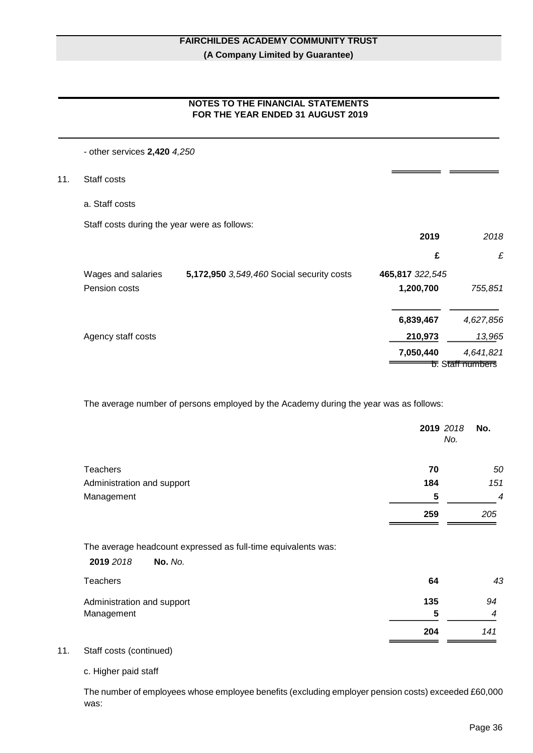# **NOTES TO THE FINANCIAL STATEMENTS FOR THE YEAR ENDED 31 AUGUST 2019**

## - other services **2,420** *4,250*

- 11. Staff costs
	- a. Staff costs

Staff costs during the year were as follows:

|                    |                                           | 2019            | 2018                                    |
|--------------------|-------------------------------------------|-----------------|-----------------------------------------|
|                    |                                           | £               | £                                       |
| Wages and salaries | 5,172,950 3,549,460 Social security costs | 465,817 322,545 |                                         |
| Pension costs      |                                           | 1,200,700       | 755,851                                 |
|                    |                                           | 6,839,467       | 4,627,856                               |
| Agency staff costs |                                           | 210,973         | 13,965                                  |
|                    |                                           | 7,050,440       | 4,641,821                               |
|                    |                                           |                 | <del>চ.</del> S <del>tall numbers</del> |

The average number of persons employed by the Academy during the year was as follows:

|                            |                                                               |     | 2019 2018<br>No.<br>No. |
|----------------------------|---------------------------------------------------------------|-----|-------------------------|
| <b>Teachers</b>            |                                                               | 70  | 50                      |
| Administration and support |                                                               | 184 | 151                     |
| Management                 |                                                               | 5   | $\boldsymbol{4}$        |
|                            |                                                               | 259 | 205                     |
|                            | The average headcount expressed as full-time equivalents was: |     |                         |
| 2019 2018                  | No. No.                                                       |     |                         |
| <b>Teachers</b>            |                                                               | 64  | 43                      |
| Administration and support |                                                               | 135 | 94                      |
| Management                 |                                                               | 5   | 4                       |
|                            |                                                               | 204 | 141                     |
|                            |                                                               |     |                         |

11. Staff costs (continued)

c. Higher paid staff

The number of employees whose employee benefits (excluding employer pension costs) exceeded £60,000 was:

 $=$   $=$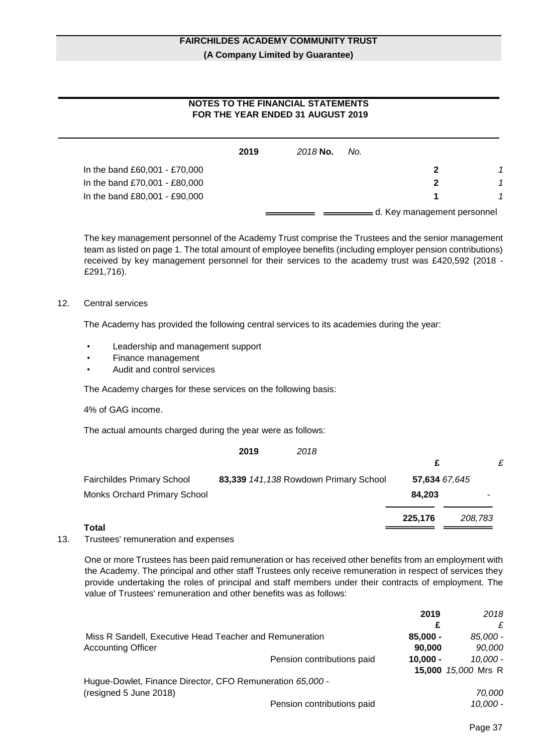# **NOTES TO THE FINANCIAL STATEMENTS FOR THE YEAR ENDED 31 AUGUST 2019**

|                               | 2019 | 2018 No. | No. |                               |  |
|-------------------------------|------|----------|-----|-------------------------------|--|
| In the band £60,001 - £70,000 |      |          |     | 2                             |  |
| In the band £70,001 - £80,000 |      |          |     |                               |  |
| In the band £80,001 - £90,000 |      |          |     |                               |  |
|                               |      |          |     | = d. Key management personnel |  |

The key management personnel of the Academy Trust comprise the Trustees and the senior management team as listed on page 1. The total amount of employee benefits (including employer pension contributions) received by key management personnel for their services to the academy trust was £420,592 (2018 - £291,716).

#### 12. Central services

The Academy has provided the following central services to its academies during the year:

- Leadership and management support
- Finance management
- Audit and control services

The Academy charges for these services on the following basis:

4% of GAG income.

The actual amounts charged during the year were as follows:

|                                     | 2019 | 2018                                  |               |         |
|-------------------------------------|------|---------------------------------------|---------------|---------|
|                                     |      |                                       | £             | £       |
| <b>Fairchildes Primary School</b>   |      | 83,339 141,138 Rowdown Primary School | 57,634 67,645 |         |
| <b>Monks Orchard Primary School</b> |      |                                       | 84.203        |         |
| - - -                               |      |                                       | 225,176       | 208,783 |

- **Total**
- 13. Trustees' remuneration and expenses

One or more Trustees has been paid remuneration or has received other benefits from an employment with the Academy. The principal and other staff Trustees only receive remuneration in respect of services they provide undertaking the roles of principal and staff members under their contracts of employment. The value of Trustees' remuneration and other benefits was as follows:

|                                                           |                            | 2019       | 2018                |
|-----------------------------------------------------------|----------------------------|------------|---------------------|
|                                                           |                            | £          | £                   |
| Miss R Sandell, Executive Head Teacher and Remuneration   |                            | $85,000 -$ | 85.000 -            |
| <b>Accounting Officer</b>                                 |                            | 90,000     | 90,000              |
|                                                           | Pension contributions paid | $10.000 -$ | 10.000 -            |
|                                                           |                            |            | 15,000 15,000 Mrs R |
| Hugue-Dowlet, Finance Director, CFO Remuneration 65,000 - |                            |            |                     |
| (resigned 5 June 2018)                                    |                            |            | 70,000              |
|                                                           | Pension contributions paid |            | 10.000 -            |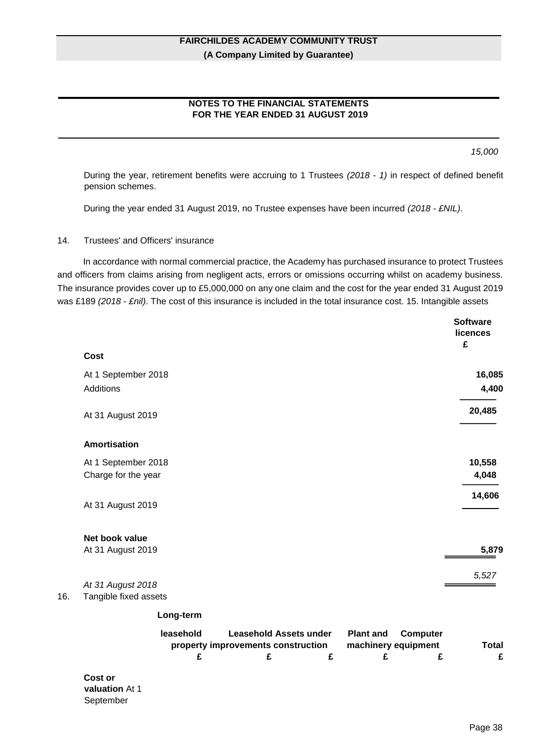# **NOTES TO THE FINANCIAL STATEMENTS FOR THE YEAR ENDED 31 AUGUST 2019**

*15,000*

During the year, retirement benefits were accruing to 1 Trustees *(2018 - 1)* in respect of defined benefit pension schemes.

During the year ended 31 August 2019, no Trustee expenses have been incurred *(2018 - £NIL)*.

#### 14. Trustees' and Officers' insurance

In accordance with normal commercial practice, the Academy has purchased insurance to protect Trustees and officers from claims arising from negligent acts, errors or omissions occurring whilst on academy business. The insurance provides cover up to £5,000,000 on any one claim and the cost for the year ended 31 August 2019 was £189 *(2018 - £nil)*. The cost of this insurance is included in the total insurance cost. 15. Intangible assets

|     |                                                                                                                                                | <b>Software</b><br>licences<br>£ |
|-----|------------------------------------------------------------------------------------------------------------------------------------------------|----------------------------------|
|     | Cost                                                                                                                                           |                                  |
|     | At 1 September 2018                                                                                                                            | 16,085                           |
|     | Additions                                                                                                                                      | 4,400                            |
|     | At 31 August 2019                                                                                                                              | 20,485                           |
|     | <b>Amortisation</b>                                                                                                                            |                                  |
|     | At 1 September 2018                                                                                                                            | 10,558                           |
|     | Charge for the year                                                                                                                            | 4,048                            |
|     | At 31 August 2019                                                                                                                              | 14,606                           |
|     | Net book value                                                                                                                                 |                                  |
|     | At 31 August 2019                                                                                                                              | 5,879                            |
|     | At 31 August 2018                                                                                                                              | 5,527                            |
| 16. | Tangible fixed assets                                                                                                                          |                                  |
|     | Long-term                                                                                                                                      |                                  |
|     | <b>Leasehold Assets under</b><br>leasehold<br><b>Plant and</b><br><b>Computer</b><br>machinery equipment<br>property improvements construction | <b>Total</b>                     |
|     | £<br>£<br>£<br>£                                                                                                                               | £<br>£                           |
|     | Cost or<br>$-1$ . $-1$ , $-1$ , $-1$ , $-1$                                                                                                    |                                  |

**valuation** At 1 September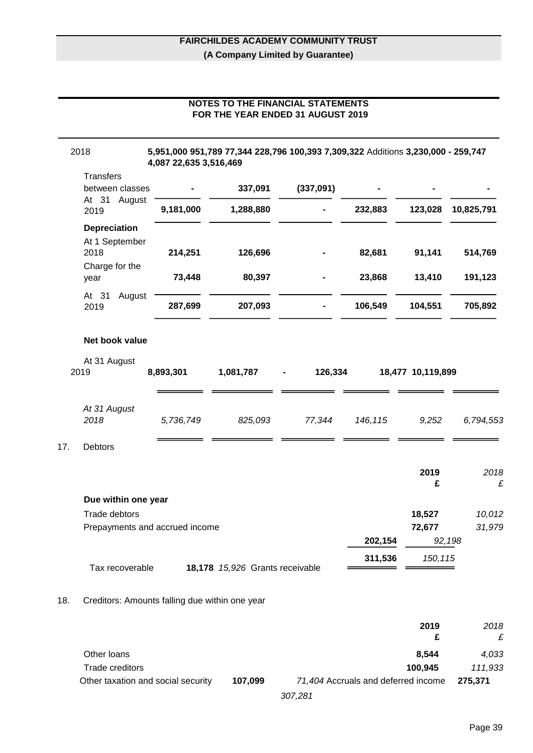# **NOTES TO THE FINANCIAL STATEMENTS FOR THE YEAR ENDED 31 AUGUST 2019**

|     | Transfers<br>between classes                    |           | 337,091                         | (337,091) |         |                   |                  |
|-----|-------------------------------------------------|-----------|---------------------------------|-----------|---------|-------------------|------------------|
|     | At 31 August<br>2019                            | 9,181,000 | 1,288,880                       |           | 232,883 | 123,028           | 10,825,791       |
|     | Depreciation<br>At 1 September<br>2018          | 214,251   | 126,696                         |           | 82,681  | 91,141            | 514,769          |
|     | Charge for the<br>year                          | 73,448    | 80,397                          |           | 23,868  | 13,410            | 191,123          |
|     | At 31<br>August<br>2019                         | 287,699   | 207,093                         |           | 106,549 | 104,551           | 705,892          |
|     | Net book value                                  |           |                                 |           |         |                   |                  |
|     | At 31 August<br>2019                            | 8,893,301 | 1,081,787                       | 126,334   |         | 18,477 10,119,899 |                  |
|     | At 31 August<br>2018                            | 5,736,749 | 825,093                         | 77,344    | 146,115 | 9,252             | 6,794,553        |
| 17. | Debtors                                         |           |                                 |           |         | 2019<br>£         | 2018<br>£        |
|     | Due within one year                             |           |                                 |           |         |                   |                  |
|     | Trade debtors<br>Prepayments and accrued income |           |                                 |           |         | 18,527<br>72,677  | 10,012<br>31,979 |
|     |                                                 |           |                                 |           | 202,154 | 92,198            |                  |
|     | Tax recoverable                                 |           | 18,178 15,926 Grants receivable |           | 311,536 | 150, 115          |                  |
| 18. | Creditors: Amounts falling due within one year  |           |                                 |           |         |                   |                  |
|     |                                                 |           |                                 |           |         | 2019              | 2018             |

|                                    |         |                                     | ---     |
|------------------------------------|---------|-------------------------------------|---------|
|                                    |         |                                     |         |
| Other loans                        |         | 8.544                               | 4.033   |
| Trade creditors                    |         | 100.945                             | 111.933 |
| Other taxation and social security | 107.099 | 71,404 Accruals and deferred income | 275.371 |
|                                    |         |                                     |         |

*<sup>307,281</sup>*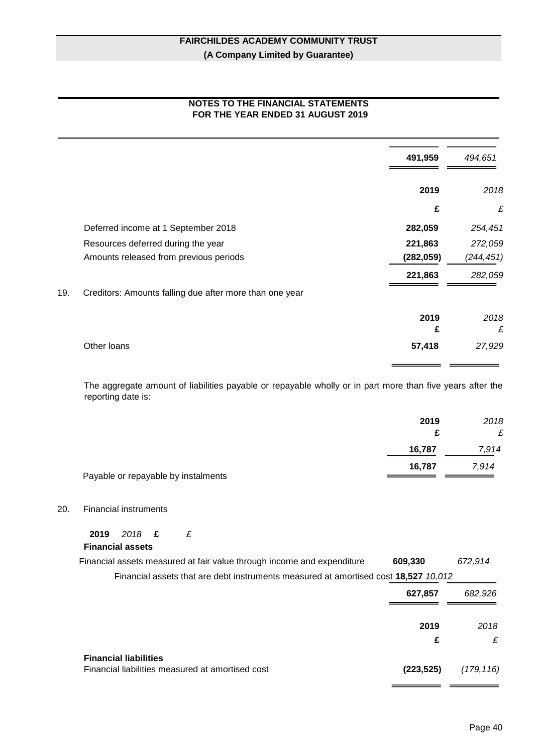# **NOTES TO THE FINANCIAL STATEMENTS FOR THE YEAR ENDED 31 AUGUST 2019**

|     |                                                         | 491,959    | 494,651    |
|-----|---------------------------------------------------------|------------|------------|
|     |                                                         | 2019       | 2018       |
|     |                                                         | £          | £          |
|     | Deferred income at 1 September 2018                     | 282,059    | 254,451    |
|     | Resources deferred during the year                      | 221,863    | 272,059    |
|     | Amounts released from previous periods                  | (282, 059) | (244, 451) |
|     |                                                         | 221,863    | 282,059    |
| 19. | Creditors: Amounts falling due after more than one year |            |            |
|     |                                                         | 2019       | 2018       |
|     |                                                         | £          | £          |
|     | Other loans                                             | 57,418     | 27,929     |
|     |                                                         |            |            |

The aggregate amount of liabilities payable or repayable wholly or in part more than five years after the reporting date is:

|                                     | 2019<br>£ | 2018<br>£ |
|-------------------------------------|-----------|-----------|
|                                     | 16,787    | 7,914     |
|                                     | 16,787    | 7,914     |
| Payable or repayable by instalments |           |           |

### 20. Financial instruments

**2019** *2018* **£** *£* **Financial assets**

| Financial assets measured at fair value through income and expenditure<br>609.330   | 672.914 |
|-------------------------------------------------------------------------------------|---------|
| Financial assets that are debt instruments measured at amortised cost 18.527 10.012 |         |
| 627.857                                                                             | 682.926 |

|                                                                                  | 2019       | 2018       |
|----------------------------------------------------------------------------------|------------|------------|
|                                                                                  | £          | £          |
| <b>Financial liabilities</b><br>Financial liabilities measured at amortised cost | (223, 525) | (179, 116) |
|                                                                                  |            |            |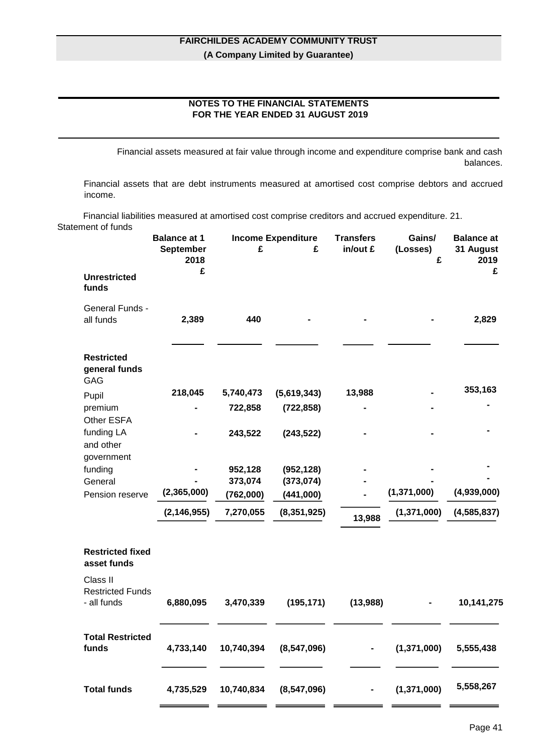# **NOTES TO THE FINANCIAL STATEMENTS FOR THE YEAR ENDED 31 AUGUST 2019**

Financial assets measured at fair value through income and expenditure comprise bank and cash balances.

Financial assets that are debt instruments measured at amortised cost comprise debtors and accrued income.

Financial liabilities measured at amortised cost comprise creditors and accrued expenditure. 21. Statement of funds

|                                                    | <b>Balance at 1</b><br><b>September</b> | £          | <b>Income Expenditure</b><br>£ | <b>Transfers</b><br>in/out £ | Gains/<br>(Losses) | <b>Balance at</b><br>31 August |
|----------------------------------------------------|-----------------------------------------|------------|--------------------------------|------------------------------|--------------------|--------------------------------|
|                                                    | 2018<br>£                               |            |                                |                              | £                  | 2019<br>£                      |
| <b>Unrestricted</b><br>funds                       |                                         |            |                                |                              |                    |                                |
| General Funds -<br>all funds                       | 2,389                                   | 440        |                                |                              |                    | 2,829                          |
|                                                    |                                         |            |                                |                              |                    |                                |
| <b>Restricted</b><br>general funds<br><b>GAG</b>   |                                         |            |                                |                              |                    |                                |
| Pupil                                              | 218,045                                 | 5,740,473  | (5,619,343)                    | 13,988                       |                    | 353,163                        |
| premium<br>Other ESFA                              |                                         | 722,858    | (722, 858)                     |                              |                    |                                |
| funding LA<br>and other<br>government              |                                         | 243,522    | (243, 522)                     |                              |                    |                                |
| funding                                            |                                         | 952,128    | (952, 128)                     |                              |                    |                                |
| General                                            |                                         | 373,074    | (373, 074)                     |                              |                    |                                |
| Pension reserve                                    | (2,365,000)                             | (762,000)  | (441,000)                      |                              | (1, 371, 000)      | (4,939,000)                    |
|                                                    | (2, 146, 955)                           | 7,270,055  | (8,351,925)                    | 13,988                       | (1, 371, 000)      | (4, 585, 837)                  |
| <b>Restricted fixed</b><br>asset funds             |                                         |            |                                |                              |                    |                                |
| Class II<br><b>Restricted Funds</b><br>- all funds | 6,880,095                               | 3,470,339  | (195, 171)                     | (13,988)                     |                    | 10,141,275                     |
| <b>Total Restricted</b><br>funds                   | 4,733,140                               | 10,740,394 | (8, 547, 096)                  | $\blacksquare$               | (1,371,000)        | 5,555,438                      |
| <b>Total funds</b>                                 | 4,735,529                               | 10,740,834 | (8,547,096)                    |                              | (1,371,000)        | 5,558,267                      |
|                                                    |                                         |            |                                |                              |                    |                                |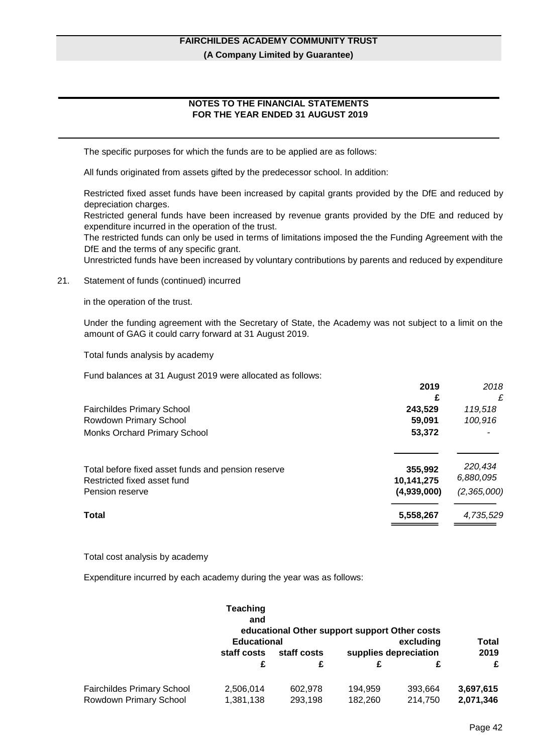# **NOTES TO THE FINANCIAL STATEMENTS FOR THE YEAR ENDED 31 AUGUST 2019**

The specific purposes for which the funds are to be applied are as follows:

All funds originated from assets gifted by the predecessor school. In addition:

Restricted fixed asset funds have been increased by capital grants provided by the DfE and reduced by depreciation charges.

Restricted general funds have been increased by revenue grants provided by the DfE and reduced by expenditure incurred in the operation of the trust.

The restricted funds can only be used in terms of limitations imposed the the Funding Agreement with the DfE and the terms of any specific grant.

Unrestricted funds have been increased by voluntary contributions by parents and reduced by expenditure

#### 21. Statement of funds (continued) incurred

in the operation of the trust.

Under the funding agreement with the Secretary of State, the Academy was not subject to a limit on the amount of GAG it could carry forward at 31 August 2019.

Total funds analysis by academy

Fund balances at 31 August 2019 were allocated as follows:

| 2019        | 2018        |
|-------------|-------------|
| £           | £           |
| 243,529     | 119,518     |
| 59,091      | 100,916     |
| 53,372      |             |
|             | 220,434     |
| 10,141,275  | 6,880,095   |
| (4,939,000) | (2,365,000) |
| 5,558,267   | 4,735,529   |
|             | 355,992     |

Total cost analysis by academy

Expenditure incurred by each academy during the year was as follows:

|                                   | Teaching<br>and    | educational Other support support Other costs |                       |           |           |
|-----------------------------------|--------------------|-----------------------------------------------|-----------------------|-----------|-----------|
|                                   | <b>Educational</b> |                                               |                       | excluding | Total     |
|                                   | staff costs        | staff costs                                   | supplies depreciation |           | 2019      |
|                                   | £                  | £                                             |                       | £         | £         |
| <b>Fairchildes Primary School</b> | 2,506,014          | 602,978                                       | 194,959               | 393,664   | 3,697,615 |
| Rowdown Primary School            | 1,381,138          | 293,198                                       | 182.260               | 214,750   | 2,071,346 |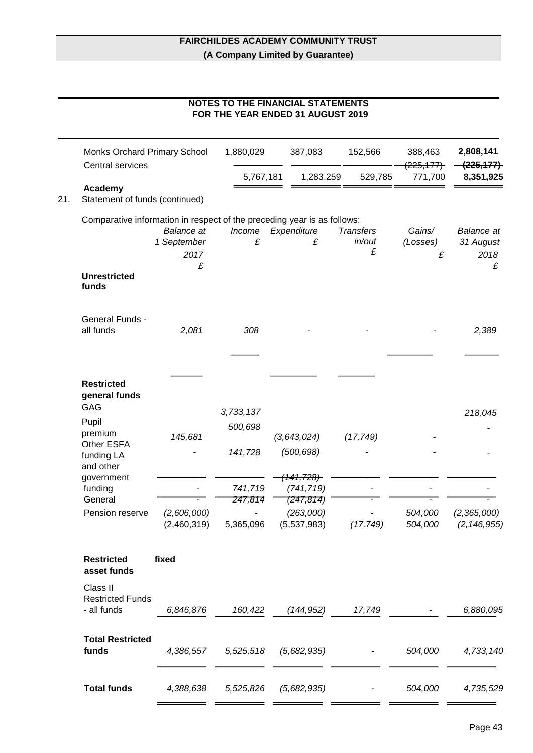# **NOTES TO THE FINANCIAL STATEMENTS FOR THE YEAR ENDED 31 AUGUST 2019**

|     |                                                                         |                                          | 1,880,029                       | 387,083                                             | 152,566                         | 388,463<br>(225, 177)   | 2,808,141<br>(225, 177)                |
|-----|-------------------------------------------------------------------------|------------------------------------------|---------------------------------|-----------------------------------------------------|---------------------------------|-------------------------|----------------------------------------|
|     | Central services                                                        |                                          | 5,767,181                       | 1,283,259                                           | 529,785                         | 771,700                 | 8,351,925                              |
| 21. | Academy<br>Statement of funds (continued)                               |                                          |                                 |                                                     |                                 |                         |                                        |
|     | Comparative information in respect of the preceding year is as follows: | <b>Balance</b> at<br>1 September<br>2017 | Income<br>£                     | Expenditure<br>£                                    | <b>Transfers</b><br>in/out<br>£ | Gains/<br>(Losses)<br>£ | <b>Balance</b> at<br>31 August<br>2018 |
|     | <b>Unrestricted</b><br>funds                                            | £                                        |                                 |                                                     |                                 |                         | £                                      |
|     | General Funds -<br>all funds                                            | 2,081                                    | 308                             |                                                     |                                 |                         | 2,389                                  |
|     | <b>Restricted</b><br>general funds<br>GAG                               |                                          |                                 |                                                     |                                 |                         |                                        |
|     | Pupil<br>premium<br>Other ESFA                                          | 145,681                                  | 3,733,137<br>500,698            | (3,643,024)                                         | (17, 749)                       |                         | 218,045                                |
|     | funding LA<br>and other<br>government                                   |                                          | 141,728                         | (500, 698)<br><del>141,728)</del>                   |                                 |                         |                                        |
|     | funding<br>General<br>Pension reserve                                   | (2,606,000)<br>(2,460,319)               | 741,719<br>247,814<br>5,365,096 | (741, 719)<br>(247,814)<br>(263,000)<br>(5,537,983) | (17, 749)                       | 504,000<br>504,000      | (2,365,000)<br>(2, 146, 955)           |
|     | <b>Restricted</b><br>asset funds                                        | fixed                                    |                                 |                                                     |                                 |                         |                                        |
|     | Class II<br><b>Restricted Funds</b><br>- all funds                      | 6,846,876                                | 160,422                         | (144, 952)                                          | 17,749                          |                         | 6,880,095                              |
|     | <b>Total Restricted</b><br>funds                                        | 4,386,557                                | 5,525,518                       | (5,682,935)                                         |                                 | 504,000                 | 4,733,140                              |
|     | <b>Total funds</b>                                                      | 4,388,638                                | 5,525,826                       | (5,682,935)                                         | ۰.                              | 504,000                 | 4,735,529                              |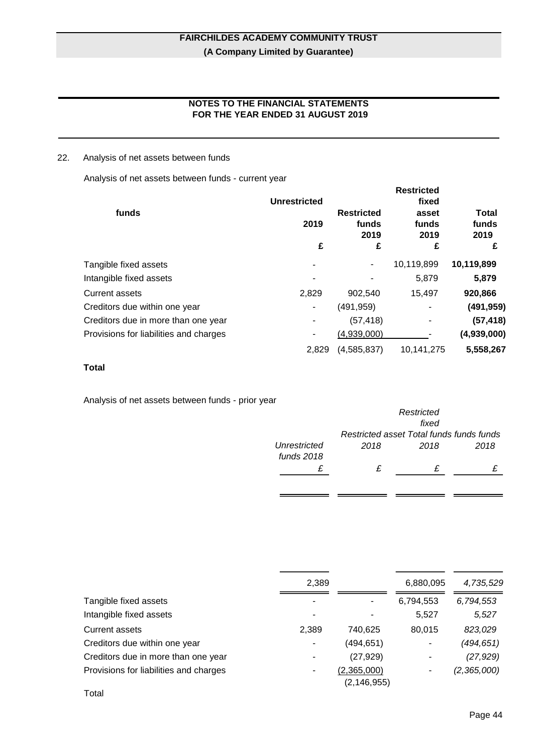# **NOTES TO THE FINANCIAL STATEMENTS FOR THE YEAR ENDED 31 AUGUST 2019**

# 22. Analysis of net assets between funds

Analysis of net assets between funds - current year

| funds                                  | <b>Unrestricted</b><br>2019<br>£ | <b>Restricted</b><br>funds<br>2019<br>£ | <b>Restricted</b><br>fixed<br>asset<br>funds<br>2019<br>£ | Total<br>funds<br>2019<br>£ |
|----------------------------------------|----------------------------------|-----------------------------------------|-----------------------------------------------------------|-----------------------------|
| Tangible fixed assets                  |                                  |                                         | 10,119,899                                                | 10,119,899                  |
| Intangible fixed assets                |                                  |                                         | 5,879                                                     | 5,879                       |
| <b>Current assets</b>                  | 2,829                            | 902,540                                 | 15,497                                                    | 920,866                     |
| Creditors due within one year          |                                  | (491, 959)                              | ٠                                                         | (491, 959)                  |
| Creditors due in more than one year    |                                  | (57, 418)                               | ۰                                                         | (57, 418)                   |
| Provisions for liabilities and charges |                                  | (4,939,000)                             |                                                           | (4,939,000)                 |
|                                        | 2,829                            | (4,585,837)                             | 10,141,275                                                | 5,558,267                   |

# **Total**

Analysis of net assets between funds - prior year

|                              | Restricted<br>fixed                      |      |      |  |
|------------------------------|------------------------------------------|------|------|--|
|                              | Restricted asset Total funds funds funds |      |      |  |
| Unrestricted<br>funds $2018$ | 2018                                     | 2018 | 2018 |  |
|                              | £                                        | £    |      |  |
|                              |                                          |      |      |  |

 $\overline{a}$ ÷

 $\overline{a}$ 

|                                        | 2,389 |               | 6,880,095 | 4,735,529     |
|----------------------------------------|-------|---------------|-----------|---------------|
| Tangible fixed assets                  |       |               | 6,794,553 | 6,794,553     |
| Intangible fixed assets                | ۰     | ۰             | 5,527     | 5,527         |
| <b>Current assets</b>                  | 2,389 | 740,625       | 80,015    | 823,029       |
| Creditors due within one year          | ۰     | (494, 651)    |           | (494, 651)    |
| Creditors due in more than one year    | -     | (27, 929)     |           | (27, 929)     |
| Provisions for liabilities and charges | ۰     | (2,365,000)   | ۰         | (2, 365, 000) |
|                                        |       | (2, 146, 955) |           |               |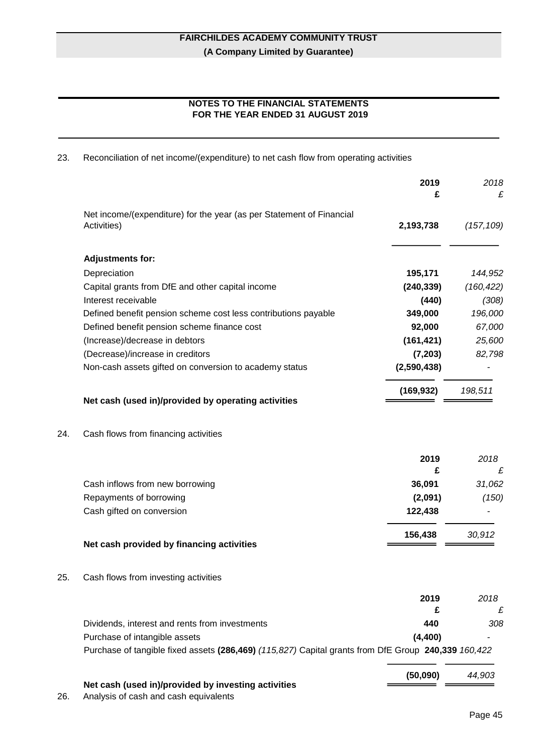# **NOTES TO THE FINANCIAL STATEMENTS FOR THE YEAR ENDED 31 AUGUST 2019**

23. Reconciliation of net income/(expenditure) to net cash flow from operating activities

|     |                                                                                                     | 2019<br>£   | 2018<br>£  |
|-----|-----------------------------------------------------------------------------------------------------|-------------|------------|
|     | Net income/(expenditure) for the year (as per Statement of Financial                                |             |            |
|     | Activities)                                                                                         | 2,193,738   | (157, 109) |
|     | <b>Adjustments for:</b>                                                                             |             |            |
|     | Depreciation                                                                                        | 195,171     | 144,952    |
|     | Capital grants from DfE and other capital income                                                    | (240, 339)  | (160, 422) |
|     | Interest receivable                                                                                 | (440)       | (308)      |
|     | Defined benefit pension scheme cost less contributions payable                                      | 349,000     | 196,000    |
|     | Defined benefit pension scheme finance cost                                                         | 92,000      | 67,000     |
|     | (Increase)/decrease in debtors                                                                      | (161, 421)  | 25,600     |
|     | (Decrease)/increase in creditors                                                                    | (7, 203)    | 82,798     |
|     | Non-cash assets gifted on conversion to academy status                                              | (2,590,438) |            |
|     | Net cash (used in)/provided by operating activities                                                 | (169, 932)  | 198,511    |
| 24. | Cash flows from financing activities                                                                |             |            |
|     |                                                                                                     | 2019        | 2018       |
|     |                                                                                                     | £           | £          |
|     | Cash inflows from new borrowing                                                                     | 36,091      | 31,062     |
|     | Repayments of borrowing                                                                             | (2,091)     | (150)      |
|     | Cash gifted on conversion                                                                           | 122,438     |            |
|     | Net cash provided by financing activities                                                           | 156,438     | 30,912     |
| 25. | Cash flows from investing activities                                                                |             |            |
|     |                                                                                                     | 2019<br>£   | 2018<br>£  |
|     | Dividends, interest and rents from investments                                                      | 440         | 308        |
|     | Purchase of intangible assets                                                                       | (4, 400)    |            |
|     | Purchase of tangible fixed assets (286,469) (115,827) Capital grants from DfE Group 240,339 160,422 |             |            |
|     |                                                                                                     | (50,090)    | 44,903     |
| 26. | Net cash (used in)/provided by investing activities<br>Analysis of cash and cash equivalents        |             |            |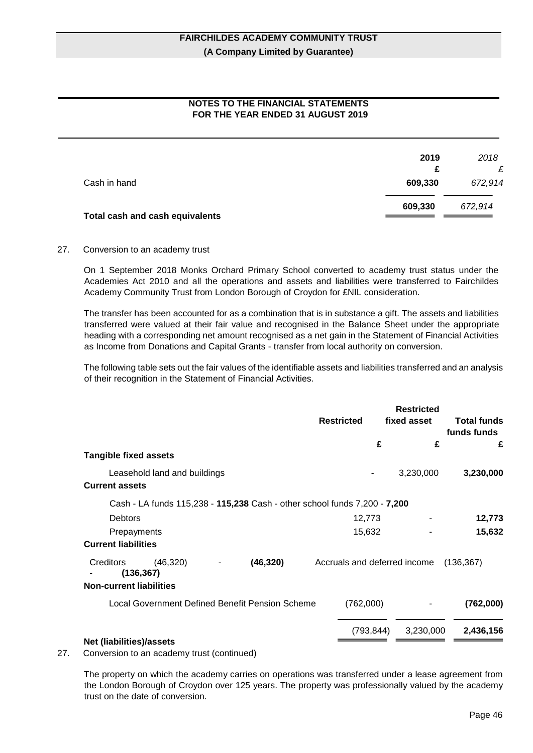# **NOTES TO THE FINANCIAL STATEMENTS FOR THE YEAR ENDED 31 AUGUST 2019**

|                                 | 2019    | 2018    |
|---------------------------------|---------|---------|
|                                 | £       | £       |
| Cash in hand                    | 609,330 | 672,914 |
|                                 | 609,330 | 672,914 |
| Total cash and cash equivalents |         |         |

#### 27. Conversion to an academy trust

On 1 September 2018 Monks Orchard Primary School converted to academy trust status under the Academies Act 2010 and all the operations and assets and liabilities were transferred to Fairchildes Academy Community Trust from London Borough of Croydon for £NIL consideration.

The transfer has been accounted for as a combination that is in substance a gift. The assets and liabilities transferred were valued at their fair value and recognised in the Balance Sheet under the appropriate heading with a corresponding net amount recognised as a net gain in the Statement of Financial Activities as Income from Donations and Capital Grants - transfer from local authority on conversion.

The following table sets out the fair values of the identifiable assets and liabilities transferred and an analysis of their recognition in the Statement of Financial Activities.

|                                 |                              |                                                 |                                                                           |            | <b>Restricted</b> |                                   |
|---------------------------------|------------------------------|-------------------------------------------------|---------------------------------------------------------------------------|------------|-------------------|-----------------------------------|
|                                 |                              |                                                 | <b>Restricted</b>                                                         |            | fixed asset       | <b>Total funds</b><br>funds funds |
|                                 |                              |                                                 |                                                                           | £          | £                 | £                                 |
| <b>Tangible fixed assets</b>    |                              |                                                 |                                                                           |            |                   |                                   |
|                                 | Leasehold land and buildings |                                                 |                                                                           |            | 3,230,000         | 3,230,000                         |
| <b>Current assets</b>           |                              |                                                 |                                                                           |            |                   |                                   |
|                                 |                              |                                                 | Cash - LA funds 115,238 - 115,238 Cash - other school funds 7,200 - 7,200 |            |                   |                                   |
| <b>Debtors</b>                  |                              |                                                 | 12,773                                                                    |            |                   | 12,773                            |
| Prepayments                     |                              |                                                 | 15,632                                                                    |            |                   | 15,632                            |
| <b>Current liabilities</b>      |                              |                                                 |                                                                           |            |                   |                                   |
| Creditors                       | (46, 320)<br>(136, 367)      | (46, 320)                                       | Accruals and deferred income                                              |            |                   | (136, 367)                        |
| <b>Non-current liabilities</b>  |                              |                                                 |                                                                           |            |                   |                                   |
|                                 |                              | Local Government Defined Benefit Pension Scheme | (762,000)                                                                 |            |                   | (762,000)                         |
|                                 |                              |                                                 |                                                                           | (793, 844) | 3,230,000         | 2,436,156                         |
| <b>Net (liabilities)/assets</b> |                              |                                                 |                                                                           |            |                   |                                   |

#### 27. Conversion to an academy trust (continued)

The property on which the academy carries on operations was transferred under a lease agreement from the London Borough of Croydon over 125 years. The property was professionally valued by the academy trust on the date of conversion.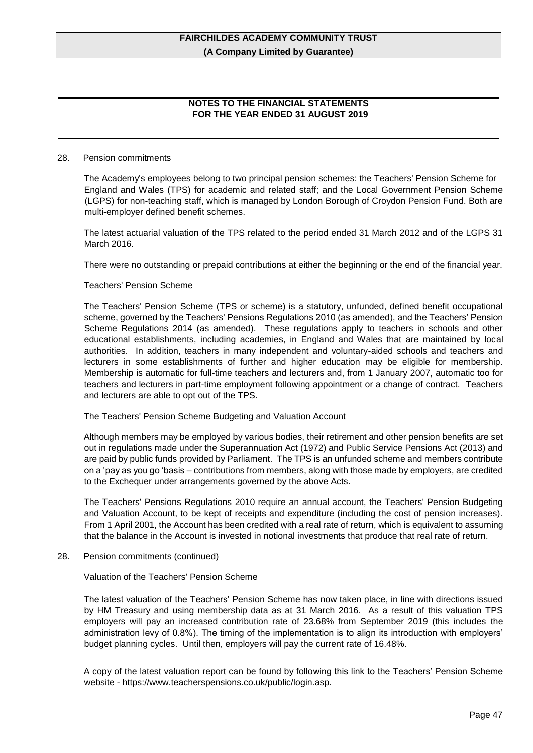# **NOTES TO THE FINANCIAL STATEMENTS FOR THE YEAR ENDED 31 AUGUST 2019**

#### 28. Pension commitments

The Academy's employees belong to two principal pension schemes: the Teachers' Pension Scheme for England and Wales (TPS) for academic and related staff; and the Local Government Pension Scheme (LGPS) for non-teaching staff, which is managed by London Borough of Croydon Pension Fund. Both are multi-employer defined benefit schemes.

The latest actuarial valuation of the TPS related to the period ended 31 March 2012 and of the LGPS 31 March 2016.

There were no outstanding or prepaid contributions at either the beginning or the end of the financial year.

#### Teachers' Pension Scheme

The Teachers' Pension Scheme (TPS or scheme) is a statutory, unfunded, defined benefit occupational scheme, governed by the Teachers' Pensions Regulations 2010 (as amended), and the Teachers' Pension Scheme Regulations 2014 (as amended). These regulations apply to teachers in schools and other educational establishments, including academies, in England and Wales that are maintained by local authorities. In addition, teachers in many independent and voluntary-aided schools and teachers and lecturers in some establishments of further and higher education may be eligible for membership. Membership is automatic for full-time teachers and lecturers and, from 1 January 2007, automatic too for teachers and lecturers in part-time employment following appointment or a change of contract. Teachers and lecturers are able to opt out of the TPS.

The Teachers' Pension Scheme Budgeting and Valuation Account

Although members may be employed by various bodies, their retirement and other pension benefits are set out in regulations made under the Superannuation Act (1972) and Public Service Pensions Act (2013) and are paid by public funds provided by Parliament. The TPS is an unfunded scheme and members contribute on a 'pay as you go 'basis – contributions from members, along with those made by employers, are credited to the Exchequer under arrangements governed by the above Acts.

The Teachers' Pensions Regulations 2010 require an annual account, the Teachers' Pension Budgeting and Valuation Account, to be kept of receipts and expenditure (including the cost of pension increases). From 1 April 2001, the Account has been credited with a real rate of return, which is equivalent to assuming that the balance in the Account is invested in notional investments that produce that real rate of return.

28. Pension commitments (continued)

Valuation of the Teachers' Pension Scheme

The latest valuation of the Teachers' Pension Scheme has now taken place, in line with directions issued by HM Treasury and using membership data as at 31 March 2016. As a result of this valuation TPS employers will pay an increased contribution rate of 23.68% from September 2019 (this includes the administration levy of 0.8%). The timing of the implementation is to align its introduction with employers' budget planning cycles. Until then, employers will pay the current rate of 16.48%.

A copy of the latest valuation report can be found by following this link to the Teachers' Pension Scheme website - https://www.teacherspensions.co.uk/public/login.asp.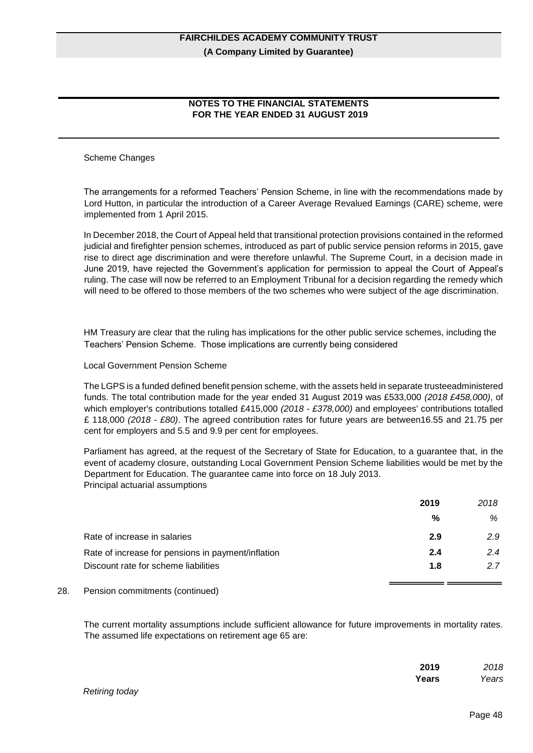# **NOTES TO THE FINANCIAL STATEMENTS FOR THE YEAR ENDED 31 AUGUST 2019**

### Scheme Changes

The arrangements for a reformed Teachers' Pension Scheme, in line with the recommendations made by Lord Hutton, in particular the introduction of a Career Average Revalued Earnings (CARE) scheme, were implemented from 1 April 2015.

In December 2018, the Court of Appeal held that transitional protection provisions contained in the reformed judicial and firefighter pension schemes, introduced as part of public service pension reforms in 2015, gave rise to direct age discrimination and were therefore unlawful. The Supreme Court, in a decision made in June 2019, have rejected the Government's application for permission to appeal the Court of Appeal's ruling. The case will now be referred to an Employment Tribunal for a decision regarding the remedy which will need to be offered to those members of the two schemes who were subject of the age discrimination.

HM Treasury are clear that the ruling has implications for the other public service schemes, including the Teachers' Pension Scheme. Those implications are currently being considered

#### Local Government Pension Scheme

The LGPS is a funded defined benefit pension scheme, with the assets held in separate trusteeadministered funds. The total contribution made for the year ended 31 August 2019 was £533,000 *(2018 £458,000)*, of which employer's contributions totalled £415,000 *(2018 - £378,000)* and employees' contributions totalled £ 118,000 *(2018 - £80)*. The agreed contribution rates for future years are between16.55 and 21.75 per cent for employers and 5.5 and 9.9 per cent for employees.

Parliament has agreed, at the request of the Secretary of State for Education, to a guarantee that, in the event of academy closure, outstanding Local Government Pension Scheme liabilities would be met by the Department for Education. The guarantee came into force on 18 July 2013. Principal actuarial assumptions

|                                                    | 2019 | 2018 |
|----------------------------------------------------|------|------|
|                                                    | %    | %    |
| Rate of increase in salaries                       | 2.9  | 2.9  |
| Rate of increase for pensions in payment/inflation | 2.4  | 2.4  |
| Discount rate for scheme liabilities               | 1.8  | 27   |
|                                                    |      |      |

#### 28. Pension commitments (continued)

The current mortality assumptions include sufficient allowance for future improvements in mortality rates. The assumed life expectations on retirement age 65 are:

|                | 2019  | 2018  |
|----------------|-------|-------|
|                | Years | Years |
| $\blacksquare$ |       |       |

*Retiring today*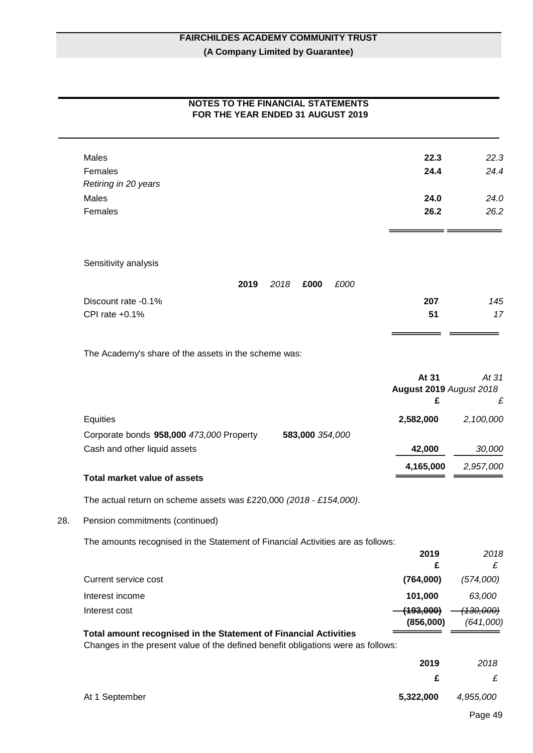# **NOTES TO THE FINANCIAL STATEMENTS FOR THE YEAR ENDED 31 AUGUST 2019**

| 22.3 | 22.3 |
|------|------|
| 24.4 | 24.4 |
|      |      |
| 24.0 | 24.0 |
| 26.2 | 26.2 |
|      |      |
|      |      |

Sensitivity analysis

|                     | 2019 | 2018 | £000 | £000 |     |     |
|---------------------|------|------|------|------|-----|-----|
| Discount rate -0.1% |      |      |      |      | 207 | 145 |
| CPI rate $+0.1\%$   |      |      |      |      | 51  | 17  |
|                     |      |      |      |      |     |     |

The Academy's share of the assets in the scheme was:

|                                          |                 | At 31                          | At 31     |
|------------------------------------------|-----------------|--------------------------------|-----------|
|                                          |                 | <b>August 2019 August 2018</b> |           |
|                                          |                 | £                              | £         |
| Equities                                 |                 | 2,582,000                      | 2,100,000 |
| Corporate bonds 958,000 473,000 Property | 583,000 354,000 |                                |           |
| Cash and other liquid assets             |                 | 42,000                         | 30,000    |
|                                          |                 | 4,165,000                      | 2,957,000 |

**Total market value of assets** 

The actual return on scheme assets was £220,000 *(2018 - £154,000)*.

28. Pension commitments (continued)

The amounts recognised in the Statement of Financial Activities are as follows:

|                      | 2019      | 2018                 |
|----------------------|-----------|----------------------|
|                      |           |                      |
| Current service cost | (764,000) | (574,000)            |
| Interest income      | 101,000   | 63,000               |
| Interest cost        | (193,000) | <del>(130,000)</del> |
|                      | (856,000) | (641,000)            |

**Total amount recognised in the Statement of Financial Activities** 

Changes in the present value of the defined benefit obligations were as follows:

|                | 2019      | 2018        |
|----------------|-----------|-------------|
|                | £.        | £           |
| At 1 September | 5,322,000 | 4,955,000   |
|                |           | $D = - - 4$ |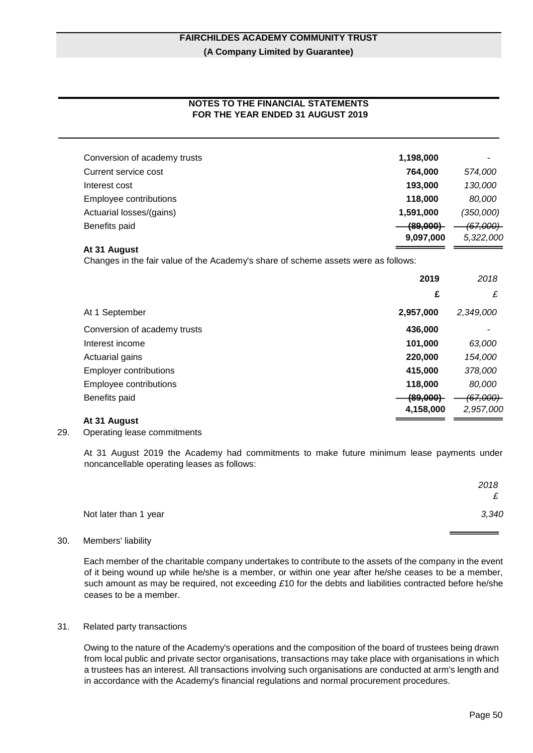# **NOTES TO THE FINANCIAL STATEMENTS FOR THE YEAR ENDED 31 AUGUST 2019**

| Conversion of academy trusts                                                       | 1,198,000                        |                                   |
|------------------------------------------------------------------------------------|----------------------------------|-----------------------------------|
| Current service cost                                                               | 764,000                          | 574,000                           |
| Interest cost                                                                      | 193,000                          | 130,000                           |
| Employee contributions                                                             | 118,000                          | 80,000                            |
| Actuarial losses/(gains)                                                           | 1,591,000                        | (350,000)                         |
| Benefits paid                                                                      | <del>(89,000)</del><br>9,097,000 | <del>(67,000)-</del><br>5,322,000 |
| At 31 August                                                                       |                                  |                                   |
| Changes in the fair value of the Academy's share of scheme assets were as follows: |                                  |                                   |
|                                                                                    | 2019                             | 2018                              |
|                                                                                    | £                                | £                                 |
| At 1 September                                                                     | 2,957,000                        | 2,349,000                         |
| Conversion of academy trusts                                                       | 436,000                          |                                   |
| Interest income                                                                    | 101,000                          | 63,000                            |
| Actuarial gains                                                                    | 220,000                          | 154,000                           |
| <b>Employer contributions</b>                                                      | 415,000                          | 378,000                           |
| Employee contributions                                                             | 118,000                          | 80,000                            |
| Benefits paid                                                                      | <del>(89,000)</del>              | <del>(67.000)</del>               |
|                                                                                    | 4,158,000                        | 2.957.000                         |
| At 31 August                                                                       |                                  |                                   |

# 29. Operating lease commitments

At 31 August 2019 the Academy had commitments to make future minimum lease payments under noncancellable operating leases as follows:

|                       | 2018  |
|-----------------------|-------|
|                       | £     |
| Not later than 1 year | 3,340 |

## 30. Members' liability

Each member of the charitable company undertakes to contribute to the assets of the company in the event of it being wound up while he/she is a member, or within one year after he/she ceases to be a member, such amount as may be required, not exceeding *£*10 for the debts and liabilities contracted before he/she ceases to be a member.

#### 31. Related party transactions

Owing to the nature of the Academy's operations and the composition of the board of trustees being drawn from local public and private sector organisations, transactions may take place with organisations in which a trustees has an interest. All transactions involving such organisations are conducted at arm's length and in accordance with the Academy's financial regulations and normal procurement procedures.